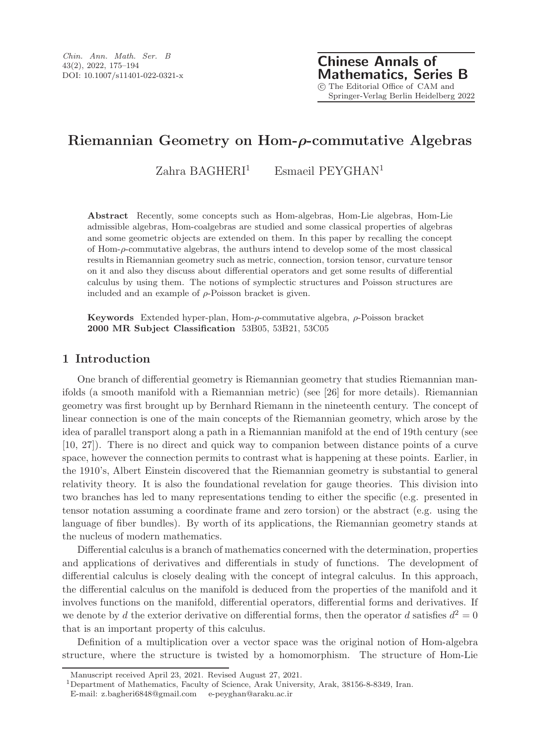Chinese Annals of Mathematics, Series B c The Editorial Office of CAM and Springer-Verlag Berlin Heidelberg 2022

# Riemannian Geometry on Hom-ρ-commutative Algebras

 $Zahra$  BAGHERI<sup>1</sup> Esmaeil PEYGHAN<sup>1</sup>

Abstract Recently, some concepts such as Hom-algebras, Hom-Lie algebras, Hom-Lie admissible algebras, Hom-coalgebras are studied and some classical properties of algebras and some geometric objects are extended on them. In this paper by recalling the concept of Hom-ρ-commutative algebras, the authurs intend to develop some of the most classical results in Riemannian geometry such as metric, connection, torsion tensor, curvature tensor on it and also they discuss about differential operators and get some results of differential calculus by using them. The notions of symplectic structures and Poisson structures are included and an example of  $\rho$ -Poisson bracket is given.

Keywords Extended hyper-plan, Hom-ρ-commutative algebra, ρ-Poisson bracket 2000 MR Subject Classification 53B05, 53B21, 53C05

## 1 Introduction

One branch of differential geometry is Riemannian geometry that studies Riemannian manifolds (a smooth manifold with a Riemannian metric) (see [26] for more details). Riemannian geometry was first brought up by Bernhard Riemann in the nineteenth century. The concept of linear connection is one of the main concepts of the Riemannian geometry, which arose by the idea of parallel transport along a path in a Riemannian manifold at the end of 19th century (see [10, 27]). There is no direct and quick way to companion between distance points of a curve space, however the connection permits to contrast what is happening at these points. Earlier, in the 1910's, Albert Einstein discovered that the Riemannian geometry is substantial to general relativity theory. It is also the foundational revelation for gauge theories. This division into two branches has led to many representations tending to either the specific (e.g. presented in tensor notation assuming a coordinate frame and zero torsion) or the abstract (e.g. using the language of fiber bundles). By worth of its applications, the Riemannian geometry stands at the nucleus of modern mathematics.

Differential calculus is a branch of mathematics concerned with the determination, properties and applications of derivatives and differentials in study of functions. The development of differential calculus is closely dealing with the concept of integral calculus. In this approach, the differential calculus on the manifold is deduced from the properties of the manifold and it involves functions on the manifold, differential operators, differential forms and derivatives. If we denote by d the exterior derivative on differential forms, then the operator d satisfies  $d^2 = 0$ that is an important property of this calculus.

Definition of a multiplication over a vector space was the original notion of Hom-algebra structure, where the structure is twisted by a homomorphism. The structure of Hom-Lie

Manuscript received April 23, 2021. Revised August 27, 2021.

<sup>1</sup>Department of Mathematics, Faculty of Science, Arak University, Arak, 38156-8-8349, Iran.

E-mail: z.bagheri6848@gmail.com e-peyghan@araku.ac.ir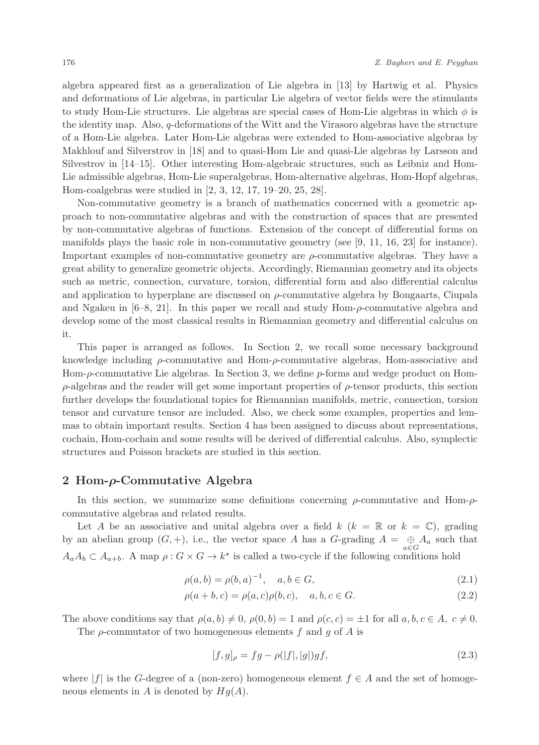algebra appeared first as a generalization of Lie algebra in [13] by Hartwig et al. Physics and deformations of Lie algebras, in particular Lie algebra of vector fields were the stimulants to study Hom-Lie structures. Lie algebras are special cases of Hom-Lie algebras in which  $\phi$  is the identity map. Also, q-deformations of the Witt and the Virasoro algebras have the structure of a Hom-Lie algebra. Later Hom-Lie algebras were extended to Hom-associative algebras by Makhlouf and Silverstrov in [18] and to quasi-Hom Lie and quasi-Lie algebras by Larsson and Silvestrov in [14–15]. Other interesting Hom-algebraic structures, such as Leibniz and Hom-Lie admissible algebras, Hom-Lie superalgebras, Hom-alternative algebras, Hom-Hopf algebras, Hom-coalgebras were studied in [2, 3, 12, 17, 19–20, 25, 28].

Non-commutative geometry is a branch of mathematics concerned with a geometric approach to non-commutative algebras and with the construction of spaces that are presented by non-commutative algebras of functions. Extension of the concept of differential forms on manifolds plays the basic role in non-commutative geometry (see [9, 11, 16, 23] for instance). Important examples of non-commutative geometry are ρ-commutative algebras. They have a great ability to generalize geometric objects. Accordingly, Riemannian geometry and its objects such as metric, connection, curvature, torsion, differential form and also differential calculus and application to hyperplane are discussed on  $\rho$ -commutative algebra by Bongaarts, Ciupala and Ngakeu in  $[6-8, 21]$ . In this paper we recall and study Hom- $\rho$ -commutative algebra and develop some of the most classical results in Riemannian geometry and differential calculus on it.

This paper is arranged as follows. In Section 2, we recall some necessary background knowledge including  $\rho$ -commutative and Hom- $\rho$ -commutative algebras, Hom-associative and Hom-ρ-commutative Lie algebras. In Section 3, we define p-forms and wedge product on Hom- $\rho$ -algebras and the reader will get some important properties of  $\rho$ -tensor products, this section further develops the foundational topics for Riemannian manifolds, metric, connection, torsion tensor and curvature tensor are included. Also, we check some examples, properties and lemmas to obtain important results. Section 4 has been assigned to discuss about representations, cochain, Hom-cochain and some results will be derived of differential calculus. Also, symplectic structures and Poisson brackets are studied in this section.

## 2 Hom-ρ-Commutative Algebra

In this section, we summarize some definitions concerning  $\rho$ -commutative and Hom- $\rho$ commutative algebras and related results.

Let A be an associative and unital algebra over a field  $k$  ( $k = \mathbb{R}$  or  $k = \mathbb{C}$ ), grading by an abelian group  $(G, +)$ , i.e., the vector space A has a G-grading  $A = \bigoplus A_a$  such that a∈G  $A_a A_b \subset A_{a+b}$ . A map  $\rho: G \times G \to k^*$  is called a two-cycle if the following conditions hold

$$
\rho(a,b) = \rho(b,a)^{-1}, \quad a, b \in G,
$$
\n(2.1)

$$
\rho(a+b,c) = \rho(a,c)\rho(b,c), \quad a, b, c \in G.
$$
\n(2.2)

The above conditions say that  $\rho(a, b) \neq 0$ ,  $\rho(0, b) = 1$  and  $\rho(c, c) = \pm 1$  for all  $a, b, c \in A$ ,  $c \neq 0$ .

The  $\rho$ -commutator of two homogeneous elements f and g of A is

$$
[f,g]_{\rho} = fg - \rho(|f|, |g|)gf,
$$
\n(2.3)

where  $|f|$  is the G-degree of a (non-zero) homogeneous element  $f \in A$  and the set of homogeneous elements in A is denoted by  $Hq(A)$ .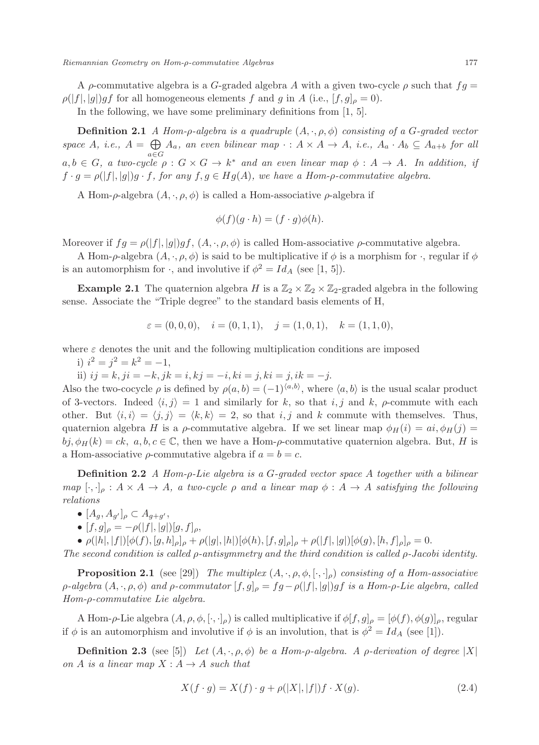A  $\rho$ -commutative algebra is a G-graded algebra A with a given two-cycle  $\rho$  such that  $fg =$  $\rho(|f|, |g|)gf$  for all homogeneous elements f and g in A (i.e.,  $[f, g]_{\rho} = 0$ ).

In the following, we have some preliminary definitions from [1, 5].

**Definition 2.1** A Hom-p-algebra is a quadruple  $(A, \cdot, \rho, \phi)$  consisting of a G-graded vector space A, i.e.,  $A = \bigoplus A_a$ , an even bilinear map  $\cdot : A \times A \to A$ , i.e.,  $A_a \cdot A_b \subseteq A_{a+b}$  for all  $a,b \in G$ , a two-cycle  $\rho: G \times G \to k^*$  and an even linear map  $\phi: A \to A$ . In addition, if  $f \cdot g = \rho(|f|, |g|)g \cdot f$ , for any  $f, g \in Hg(A)$ , we have a Hom- $\rho$ -commutative algebra.

A Hom- $\rho$ -algebra  $(A, \cdot, \rho, \phi)$  is called a Hom-associative  $\rho$ -algebra if

$$
\phi(f)(g \cdot h) = (f \cdot g)\phi(h).
$$

Moreover if  $fg = \rho(|f|, |g|)gf$ ,  $(A, \cdot, \rho, \phi)$  is called Hom-associative  $\rho$ -commutative algebra.

A Hom- $\rho$ -algebra  $(A, \cdot, \rho, \phi)$  is said to be multiplicative if  $\phi$  is a morphism for  $\cdot$ , regular if  $\phi$ is an automorphism for  $\cdot$ , and involutive if  $\phi^2 = Id_A$  (see [1, 5]).

**Example 2.1** The quaternion algebra H is a  $\mathbb{Z}_2 \times \mathbb{Z}_2 \times \mathbb{Z}_2$ -graded algebra in the following sense. Associate the "Triple degree" to the standard basis elements of H,

$$
\varepsilon = (0, 0, 0), \quad i = (0, 1, 1), \quad j = (1, 0, 1), \quad k = (1, 1, 0),
$$

where  $\varepsilon$  denotes the unit and the following multiplication conditions are imposed

i)  $i^2 = j^2 = k^2 = -1$ ,

ii)  $ij = k$ ,  $ji = -k$ ,  $jk = i$ ,  $kj = -i$ ,  $ki = j$ ,  $ki = j$ ,  $ik = -j$ .

Also the two-cocycle  $\rho$  is defined by  $\rho(a, b) = (-1)^{\langle a, b \rangle}$ , where  $\langle a, b \rangle$  is the usual scalar product of 3-vectors. Indeed  $\langle i, j \rangle = 1$  and similarly for k, so that i, j and k, ρ-commute with each other. But  $\langle i, i \rangle = \langle j, j \rangle = \langle k, k \rangle = 2$ , so that i, j and k commute with themselves. Thus, quaternion algebra H is a ρ-commutative algebra. If we set linear map  $\phi_H(i) = ai, \phi_H(j)$  $b_i, \phi_H(k) = ck, a, b, c \in \mathbb{C}$ , then we have a Hom- $\rho$ -commutative quaternion algebra. But, H is a Hom-associative  $\rho$ -commutative algebra if  $a = b = c$ .

**Definition 2.2** A Hom- $\rho$ -Lie algebra is a G-graded vector space A together with a bilinear map  $[\cdot,\cdot]_{\rho} : A \times A \rightarrow A$ , a two-cycle  $\rho$  and a linear map  $\phi : A \rightarrow A$  satisfying the following relations

- $\bullet$   $[A_g, A_{g'}]_\rho \subset A_{g+g'},$
- $[f, g]_{\rho} = -\rho(|f|, |g|)[g, f]_{\rho},$

•  $\rho(|h|, |f|)[\phi(f), [g, h]_{\rho}]_{\rho} + \rho(|g|, |h|)[\phi(h), [f, g]_{\rho}]_{\rho} + \rho(|f|, |g|)[\phi(g), [h, f]_{\rho}]_{\rho} = 0.$ 

The second condition is called ρ-antisymmetry and the third condition is called ρ-Jacobi identity.

**Proposition 2.1** (see [29]) The multiplex  $(A, \cdot, \rho, \phi, [\cdot, \cdot]_{\rho})$  consisting of a Hom-associative  $\rho$ -algebra  $(A, \cdot, \rho, \phi)$  and  $\rho$ -commutator  $[f, g]_\rho = fg - \rho(|f|, |g|)gf$  is a Hom- $\rho$ -Lie algebra, called Hom-ρ-commutative Lie algebra.

A Hom-ρ-Lie algebra  $(A, \rho, \phi, [\cdot, \cdot]_{\rho})$  is called multiplicative if  $\phi[f, g]_{\rho} = [\phi(f), \phi(g)]_{\rho}$ , regular if  $\phi$  is an automorphism and involutive if  $\phi$  is an involution, that is  $\phi^2 = Id_A$  (see [1]).

**Definition 2.3** (see [5]) Let  $(A, \cdot, \rho, \phi)$  be a Hom-p-algebra. A p-derivation of degree |X| on A is a linear map  $X : A \rightarrow A$  such that

$$
X(f \cdot g) = X(f) \cdot g + \rho(|X|, |f|)f \cdot X(g). \tag{2.4}
$$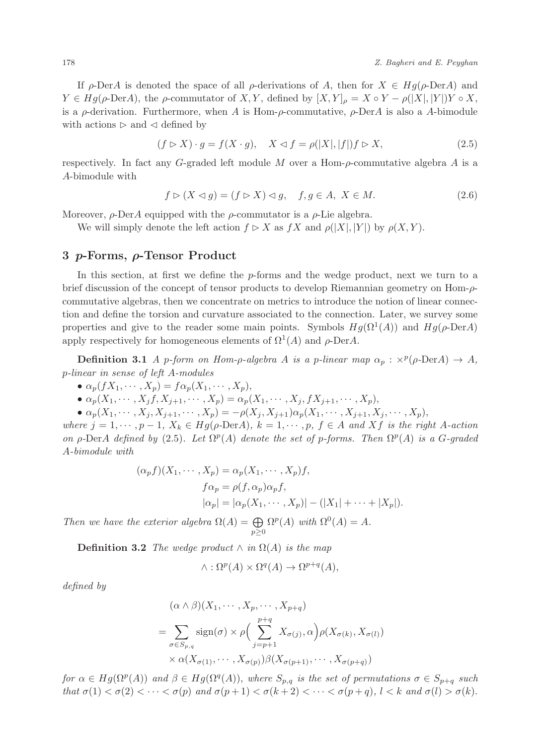If  $\rho$ -DerA is denoted the space of all  $\rho$ -derivations of A, then for  $X \in Hg(\rho$ -DerA) and  $Y \in Hg(\rho\text{-Der}A)$ , the  $\rho$ -commutator of  $X, Y$ , defined by  $[X, Y]_{\rho} = X \circ Y - \rho(|X|, |Y|)Y \circ X$ , is a  $\rho$ -derivation. Furthermore, when A is Hom- $\rho$ -commutative,  $\rho$ -DerA is also a A-bimodule with actions  $\triangleright$  and  $\triangleleft$  defined by

$$
(f \rhd X) \cdot g = f(X \cdot g), \quad X \lhd f = \rho(|X|, |f|) f \rhd X,\tag{2.5}
$$

respectively. In fact any  $G$ -graded left module M over a Hom- $\rho$ -commutative algebra A is a A-bimodule with

$$
f \triangleright (X \triangleleft g) = (f \triangleright X) \triangleleft g, \quad f, g \in A, \ X \in M. \tag{2.6}
$$

Moreover,  $\rho$ -DerA equipped with the  $\rho$ -commutator is a  $\rho$ -Lie algebra.

We will simply denote the left action  $f \triangleright X$  as  $fX$  and  $\rho(|X|, |Y|)$  by  $\rho(X, Y)$ .

### 3 p-Forms, ρ-Tensor Product

In this section, at first we define the p-forms and the wedge product, next we turn to a brief discussion of the concept of tensor products to develop Riemannian geometry on Hom-ρcommutative algebras, then we concentrate on metrics to introduce the notion of linear connection and define the torsion and curvature associated to the connection. Later, we survey some properties and give to the reader some main points. Symbols  $Hg(\Omega^1(A))$  and  $Hg(\rho\text{-Der}A)$ apply respectively for homogeneous elements of  $\Omega^1(A)$  and  $\rho$ -DerA.

**Definition 3.1** A p-form on Hom- $\rho$ -algebra A is a p-linear map  $\alpha_p$ :  $\times^p(\rho\text{-Der}A) \rightarrow A$ , p-linear in sense of left A-modules

- $\alpha_p(fX_1, \dots, X_p) = f\alpha_p(X_1, \dots, X_p),$
- $\alpha_p(X_1, \dots, X_j, X_{j+1}, \dots, X_p) = \alpha_p(X_1, \dots, X_j, fX_{j+1}, \dots, X_p),$

•  $\alpha_p(X_1, \dots, X_j, X_{j+1}, \dots, X_p) = -\rho(X_j, X_{j+1})\alpha_p(X_1, \dots, X_{j+1}, X_j, \dots, X_p),$ 

where  $j = 1, \dots, p - 1$ ,  $X_k \in Hg(\rho\text{-Der}A)$ ,  $k = 1, \dots, p$ ,  $f \in A$  and Xf is the right A-action on  $\rho$ -DerA defined by (2.5). Let  $\Omega^p(A)$  denote the set of p-forms. Then  $\Omega^p(A)$  is a G-graded A-bimodule with

$$
(\alpha_p f)(X_1, \cdots, X_p) = \alpha_p(X_1, \cdots, X_p)f,
$$
  
\n
$$
f \alpha_p = \rho(f, \alpha_p) \alpha_p f,
$$
  
\n
$$
|\alpha_p| = |\alpha_p(X_1, \cdots, X_p)| - (|X_1| + \cdots + |X_p|).
$$

Then we have the exterior algebra  $\Omega(A) = \bigoplus$  $p\geq 0$  $\Omega^p(A)$  with  $\Omega^0(A) = A$ .

**Definition 3.2** The wedge product  $\wedge$  in  $\Omega(A)$  is the map

$$
\wedge : \Omega^p(A) \times \Omega^q(A) \to \Omega^{p+q}(A),
$$

defined by

$$
(\alpha \wedge \beta)(X_1, \cdots, X_p, \cdots, X_{p+q})
$$
  
= 
$$
\sum_{\sigma \in S_{p,q}} sign(\sigma) \times \rho \Big( \sum_{j=p+1}^{p+q} X_{\sigma(j)}, \alpha \Big) \rho(X_{\sigma(k)}, X_{\sigma(l)})
$$
  

$$
\times \alpha(X_{\sigma(1)}, \cdots, X_{\sigma(p)}) \beta(X_{\sigma(p+1)}, \cdots, X_{\sigma(p+q)})
$$

for  $\alpha \in Hg(\Omega^p(A))$  and  $\beta \in Hg(\Omega^q(A))$ , where  $S_{p,q}$  is the set of permutations  $\sigma \in S_{p+q}$  such that  $\sigma(1) < \sigma(2) < \cdots < \sigma(p)$  and  $\sigma(p+1) < \sigma(k+2) < \cdots < \sigma(p+q)$ ,  $l < k$  and  $\sigma(l) > \sigma(k)$ .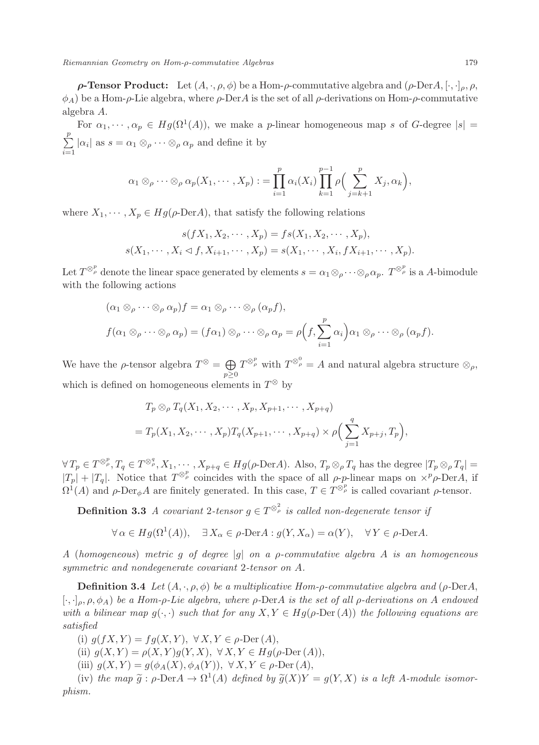**ρ-Tensor Product:** Let  $(A, \cdot, \rho, \phi)$  be a Hom-*ρ*-commutative algebra and  $(\rho\text{-Der} A, [\cdot, \cdot]_{\rho}, \rho, \phi)$  $\phi_A$ ) be a Hom- $\rho$ -Lie algebra, where  $\rho$ -DerA is the set of all  $\rho$ -derivations on Hom- $\rho$ -commutative algebra A.

For  $\alpha_1, \dots, \alpha_p \in Hg(\Omega^1(A))$ , we make a *p*-linear homogeneous map s of G-degree  $|s|$  $\sum_{i=1}^{p}$  $\sum_{i=1}^{\infty} |\alpha_i|$  as  $s = \alpha_1 \otimes_{\rho} \cdots \otimes_{\rho} \alpha_p$  and define it by

$$
\alpha_1 \otimes_{\rho} \cdots \otimes_{\rho} \alpha_p(X_1, \cdots, X_p) := \prod_{i=1}^p \alpha_i(X_i) \prod_{k=1}^{p-1} \rho \Big( \sum_{j=k+1}^p X_j, \alpha_k \Big),
$$

where  $X_1, \dots, X_p \in Hg(\rho\text{-Der}A)$ , that satisfy the following relations

$$
s(fX_1, X_2, \cdots, X_p) = fs(X_1, X_2, \cdots, X_p),
$$
  

$$
s(X_1, \cdots, X_i \triangleleft f, X_{i+1}, \cdots, X_p) = s(X_1, \cdots, X_i, fX_{i+1}, \cdots, X_p).
$$

Let  $T^{\otimes_p^p}$  denote the linear space generated by elements  $s = \alpha_1 \otimes_\rho \cdots \otimes_\rho \alpha_p$ .  $T^{\otimes_p^p}$  is a A-bimodule with the following actions

$$
(\alpha_1 \otimes_{\rho} \cdots \otimes_{\rho} \alpha_p) f = \alpha_1 \otimes_{\rho} \cdots \otimes_{\rho} (\alpha_p f),
$$
  

$$
f(\alpha_1 \otimes_{\rho} \cdots \otimes_{\rho} \alpha_p) = (f \alpha_1) \otimes_{\rho} \cdots \otimes_{\rho} \alpha_p = \rho \left(f, \sum_{i=1}^p \alpha_i\right) \alpha_1 \otimes_{\rho} \cdots \otimes_{\rho} (\alpha_p f).
$$

We have the  $\rho$ -tensor algebra  $T^{\otimes} = \bigoplus$  $p\geq 0$  $T^{\otimes_{\rho}^{\mathcal{P}}}$  with  $T^{\otimes_{\rho}^0}=A$  and natural algebra structure  $\otimes_{\rho}$ , which is defined on homogeneous elements in  $T^{\otimes}$  by

$$
T_p \otimes_{\rho} T_q(X_1, X_2, \cdots, X_p, X_{p+1}, \cdots, X_{p+q})
$$
  
=  $T_p(X_1, X_2, \cdots, X_p)T_q(X_{p+1}, \cdots, X_{p+q}) \times \rho \Big( \sum_{j=1}^q X_{p+j}, T_p \Big),$ 

 $\forall T_p \in T^{\otimes_p^p}, T_q \in T^{\otimes_q^q}, X_1, \cdots, X_{p+q} \in Hg(\rho\text{-Der}A)$ . Also,  $T_p \otimes_{\rho} T_q$  has the degree  $|T_p \otimes_{\rho} T_q|$  $|T_p| + |T_q|$ . Notice that  $T^{\otimes p}$  coincides with the space of all  $\rho$ -p-linear maps on  $\times^p \rho$ -DerA, if  $\Omega^1(A)$  and  $\rho$ -Der<sub> $\phi$ </sub>A are finitely generated. In this case,  $T \in T^{\otimes p}$  is called covariant  $\rho$ -tensor.

**Definition 3.3** A covariant 2-tensor  $g \in T^{\otimes_{\rho}^2}$  is called non-degenerate tensor if

$$
\forall \alpha \in Hg(\Omega^1(A)), \quad \exists X_{\alpha} \in \rho\text{-Der}A : g(Y, X_{\alpha}) = \alpha(Y), \quad \forall Y \in \rho\text{-Der}A.
$$

A (homogeneous) metric g of degree |g| on a  $\rho$ -commutative algebra A is an homogeneous symmetric and nondegenerate covariant 2-tensor on A.

**Definition 3.4** Let  $(A, \cdot, \rho, \phi)$  be a multiplicative Hom- $\rho$ -commutative algebra and ( $\rho$ -DerA, [:,  $\cdot|_p$ ,  $\rho$ ,  $\phi$ A) be a Hom- $\rho$ -Lie algebra, where  $\rho$ -DerA is the set of all  $\rho$ -derivations on A endowed with a bilinear map  $g(\cdot, \cdot)$  such that for any  $X, Y \in Hg(\rho\text{-Der}(A))$  the following equations are satisfied

(i)  $q(fX, Y) = fq(X, Y), \forall X, Y \in \rho$ -Der (A),

(ii) 
$$
g(X,Y) = \rho(X,Y)g(Y,X), \ \forall X,Y \in Hg(\rho\text{-Der}(A)),
$$

(iii)  $g(X, Y) = g(\phi_A(X), \phi_A(Y)), \ \forall X, Y \in \rho\text{-Der}(A),$ 

(iv) the map  $\tilde{g}: \rho\text{-Der} A \to \Omega^1(A)$  defined by  $\tilde{g}(X)Y = g(Y, X)$  is a left A-module isomorphism.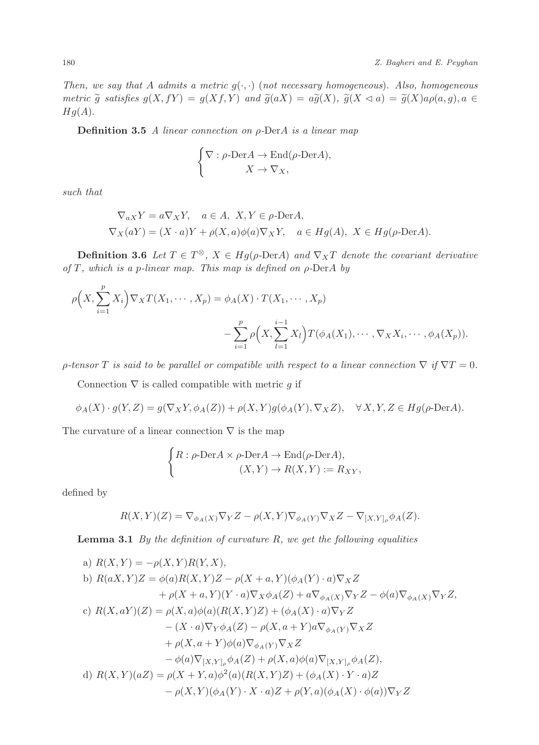Then, we say that A admits a metric  $g(\cdot, \cdot)$  (not necessary homogeneous). Also, homogeneous metric  $\tilde{g}$  satisfies  $g(X, fY) = g(Xf, Y)$  and  $\tilde{g}(aX) = a\tilde{g}(X), \tilde{g}(X \triangleleft a) = \tilde{g}(X)a\rho(a, g), a \in$  $Hg(A).$ 

**Definition 3.5** A linear connection on  $\rho$ -DerA is a linear map

$$
\begin{cases} \nabla : \rho\text{-Der} A \to \text{End}(\rho\text{-Der} A), \\ \qquad \qquad X \to \nabla_X, \end{cases}
$$

such that

$$
\nabla_{aX} Y = a \nabla_X Y, \quad a \in A, \ X, Y \in \rho\text{-Der}A,
$$
  
\n
$$
\nabla_X(aY) = (X \cdot a)Y + \rho(X, a)\phi(a)\nabla_X Y, \quad a \in Hg(A), \ X \in Hg(\rho\text{-Der}A).
$$

**Definition 3.6** Let  $T \in T^{\otimes}$ ,  $X \in Hg(\rho\text{-Der}A)$  and  $\nabla_X T$  denote the covariant derivative of T, which is a p-linear map. This map is defined on  $\rho$ -DerA by

$$
\rho\Big(X,\sum_{i=1}^p X_i\Big)\nabla_X T(X_1,\cdots,X_p) = \phi_A(X)\cdot T(X_1,\cdots,X_p)
$$

$$
-\sum_{i=1}^p \rho\Big(X,\sum_{l=1}^{i-1} X_l\Big)T(\phi_A(X_1),\cdots,\nabla_X X_i,\cdots,\phi_A(X_p)).
$$

 $\rho$ -tensor T is said to be parallel or compatible with respect to a linear connection  $\nabla$  if  $\nabla T = 0$ .

Connection  $\nabla$  is called compatible with metric q if

$$
\phi_A(X) \cdot g(Y, Z) = g(\nabla_X Y, \phi_A(Z)) + \rho(X, Y)g(\phi_A(Y), \nabla_X Z), \quad \forall X, Y, Z \in Hg(\rho\text{-Der}A).
$$

The curvature of a linear connection  $\nabla$  is the map

$$
\begin{cases} R: \rho\text{-Der} A \times \rho\text{-Der} A \to \text{End}(\rho\text{-Der} A), \\ (X, Y) \to R(X, Y) := R_{XY}, \end{cases}
$$

defined by

$$
R(X,Y)(Z) = \nabla_{\phi_A(X)} \nabla_Y Z - \rho(X,Y) \nabla_{\phi_A(Y)} \nabla_X Z - \nabla_{[X,Y]_\rho} \phi_A(Z).
$$

**Lemma 3.1** By the definition of curvature  $R$ , we get the following equalities

a) 
$$
R(X,Y) = -\rho(X,Y)R(Y,X)
$$
,  
\nb)  $R(aX,Y)Z = \phi(a)R(X,Y)Z - \rho(X+a,Y)(\phi_A(Y) \cdot a)\nabla_X Z$   
\t $+ \rho(X+a,Y)(Y \cdot a)\nabla_X \phi_A(Z) + a\nabla_{\phi_A(X)}\nabla_Y Z - \phi(a)\nabla_{\phi_A(X)}\nabla_Y Z,$   
\nc)  $R(X,aY)(Z) = \rho(X,a)\phi(a)(R(X,Y)Z) + (\phi_A(X) \cdot a)\nabla_Y Z$   
\t $- (X \cdot a)\nabla_Y \phi_A(Z) - \rho(X,a+Y)a\nabla_{\phi_A(Y)}\nabla_X Z$   
\t $+ \rho(X,a+Y)\phi(a)\nabla_{\phi_A(Y)}\nabla_X Z$   
\t $- \phi(a)\nabla_{[X,Y]_\rho} \phi_A(Z) + \rho(X,a)\phi(a)\nabla_{[X,Y]_\rho} \phi_A(Z),$   
\nd)  $R(X,Y)(aZ) = \rho(X+Y,a)\phi^2(a)(R(X,Y)Z) + (\phi_A(X) \cdot Y \cdot a)Z$   
\t $- \rho(X,Y)(\phi_A(Y) \cdot X \cdot a)Z + \rho(Y,a)(\phi_A(X) \cdot \phi(a))\nabla_Y Z$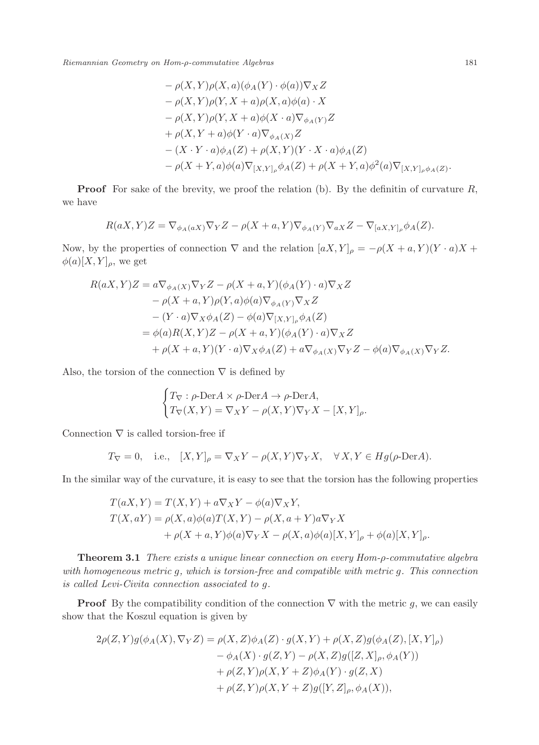$$
- \rho(X, Y)\rho(X, a)(\phi_A(Y) \cdot \phi(a))\nabla_X Z
$$
  
\n
$$
- \rho(X, Y)\rho(Y, X + a)\rho(X, a)\phi(a) \cdot X
$$
  
\n
$$
- \rho(X, Y)\rho(Y, X + a)\phi(X \cdot a)\nabla_{\phi_A(Y)}Z
$$
  
\n
$$
+ \rho(X, Y + a)\phi(Y \cdot a)\nabla_{\phi_A(X)}Z
$$
  
\n
$$
- (X \cdot Y \cdot a)\phi_A(Z) + \rho(X, Y)(Y \cdot X \cdot a)\phi_A(Z)
$$
  
\n
$$
- \rho(X + Y, a)\phi(a)\nabla_{[X, Y]_{\rho}}\phi_A(Z) + \rho(X + Y, a)\phi^2(a)\nabla_{[X, Y]_{\rho}\phi_A(Z)}.
$$

**Proof** For sake of the brevity, we proof the relation (b). By the definitin of curvature  $R$ , we have

$$
R(aX,Y)Z = \nabla_{\phi_A(aX)} \nabla_Y Z - \rho(X+a,Y) \nabla_{\phi_A(Y)} \nabla_{aX} Z - \nabla_{[aX,Y]_{\rho}} \phi_A(Z).
$$

Now, by the properties of connection  $\nabla$  and the relation  $[aX,Y]_{\rho} = -\rho(X + a, Y)(Y \cdot a)X +$  $\phi(a)[X,Y]_{\rho}$ , we get

$$
R(aX,Y)Z = a\nabla_{\phi_A(X)}\nabla_Y Z - \rho(X+a,Y)(\phi_A(Y) \cdot a)\nabla_X Z
$$
  
\n
$$
- \rho(X+a,Y)\rho(Y,a)\phi(a)\nabla_{\phi_A(Y)}\nabla_X Z
$$
  
\n
$$
- (Y \cdot a)\nabla_X \phi_A(Z) - \phi(a)\nabla_{[X,Y]_\rho} \phi_A(Z)
$$
  
\n
$$
= \phi(a)R(X,Y)Z - \rho(X+a,Y)(\phi_A(Y) \cdot a)\nabla_X Z
$$
  
\n
$$
+ \rho(X+a,Y)(Y \cdot a)\nabla_X \phi_A(Z) + a\nabla_{\phi_A(X)}\nabla_Y Z - \phi(a)\nabla_{\phi_A(X)}\nabla_Y Z.
$$

Also, the torsion of the connection  $\nabla$  is defined by

$$
\begin{cases}\nT_{\nabla} : \rho\text{-Der} A \times \rho\text{-Der} A \to \rho\text{-Der} A, \\
T_{\nabla}(X, Y) = \nabla_X Y - \rho(X, Y) \nabla_Y X - [X, Y]_{\rho}.\n\end{cases}
$$

Connection  $\nabla$  is called torsion-free if

$$
T_{\nabla} = 0
$$
, i.e.,  $[X, Y]_{\rho} = \nabla_X Y - \rho(X, Y) \nabla_Y X$ ,  $\forall X, Y \in Hg(\rho\text{-Der}A)$ .

In the similar way of the curvature, it is easy to see that the torsion has the following properties

$$
T(aX,Y) = T(X,Y) + a\nabla_X Y - \phi(a)\nabla_X Y,
$$
  
\n
$$
T(X,aY) = \rho(X,a)\phi(a)T(X,Y) - \rho(X,a+Y)a\nabla_Y X
$$
  
\n
$$
+ \rho(X+a,Y)\phi(a)\nabla_Y X - \rho(X,a)\phi(a)[X,Y]_{\rho} + \phi(a)[X,Y]_{\rho}.
$$

Theorem 3.1 There exists a unique linear connection on every Hom- $\rho$ -commutative algebra with homogeneous metric g, which is torsion-free and compatible with metric g. This connection is called Levi-Civita connection associated to g.

**Proof** By the compatibility condition of the connection  $\nabla$  with the metric g, we can easily show that the Koszul equation is given by

$$
2\rho(Z,Y)g(\phi_A(X), \nabla_Y Z) = \rho(X, Z)\phi_A(Z) \cdot g(X, Y) + \rho(X, Z)g(\phi_A(Z), [X, Y]_{\rho}) - \phi_A(X) \cdot g(Z, Y) - \rho(X, Z)g([Z, X]_{\rho}, \phi_A(Y)) + \rho(Z, Y)\rho(X, Y + Z)\phi_A(Y) \cdot g(Z, X) + \rho(Z, Y)\rho(X, Y + Z)g([Y, Z]_{\rho}, \phi_A(X)),
$$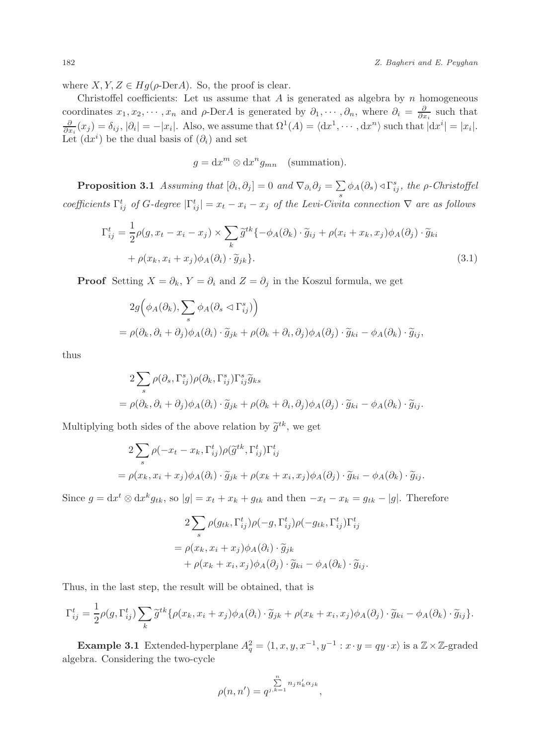where  $X, Y, Z \in Hg(\rho\text{-Der}A)$ . So, the proof is clear.

Christoffel coefficients: Let us assume that  $A$  is generated as algebra by  $n$  homogeneous coordinates  $x_1, x_2, \dots, x_n$  and  $\rho$ -DerA is generated by  $\partial_1, \dots, \partial_n$ , where  $\partial_i = \frac{\partial}{\partial x_i}$  such that  $\frac{\partial}{\partial x_i}(x_j) = \delta_{ij}, |\partial_i| = -|x_i|$ . Also, we assume that  $\Omega^1(A) = \langle dx^1, \cdots, dx^n \rangle$  such that  $|dx^i| = |x_i|$ . Let  $(dx<sup>i</sup>)$  be the dual basis of  $(\partial_i)$  and set

$$
g = dx^m \otimes dx^n g_{mn} \quad \text{(summation)}.
$$

**Proposition 3.1** Assuming that  $[\partial_i, \partial_j] = 0$  and  $\nabla_{\partial_i} \partial_j = \sum$  $\sum_{s} \phi_A(\partial_s) \triangleleft \Gamma_{ij}^s$ , the  $\rho$ -Christoffel coefficients  $\Gamma_{ij}^t$  of G-degree  $|\Gamma_{ij}^t| = x_t - x_i - x_j$  of the Levi-Civita connection  $\nabla$  are as follows

$$
\Gamma_{ij}^t = \frac{1}{2}\rho(g, x_t - x_i - x_j) \times \sum_k \widetilde{g}^{tk} \{-\phi_A(\partial_k) \cdot \widetilde{g}_{ij} + \rho(x_i + x_k, x_j)\phi_A(\partial_j) \cdot \widetilde{g}_{ki} + \rho(x_k, x_i + x_j)\phi_A(\partial_i) \cdot \widetilde{g}_{jk} \}.
$$
\n(3.1)

**Proof** Setting  $X = \partial_k$ ,  $Y = \partial_i$  and  $Z = \partial_j$  in the Koszul formula, we get

$$
2g(\phi_A(\partial_k), \sum_s \phi_A(\partial_s \lhd \Gamma^s_{ij}))
$$
  
=  $\rho(\partial_k, \partial_i + \partial_j)\phi_A(\partial_i) \cdot \widetilde{g}_{jk} + \rho(\partial_k + \partial_i, \partial_j)\phi_A(\partial_j) \cdot \widetilde{g}_{ki} - \phi_A(\partial_k) \cdot \widetilde{g}_{ij},$ 

thus

$$
2\sum_{s} \rho(\partial_{s}, \Gamma_{ij}^{s}) \rho(\partial_{k}, \Gamma_{ij}^{s}) \Gamma_{ij}^{s} \tilde{g}_{ks}
$$
  
=  $\rho(\partial_{k}, \partial_{i} + \partial_{j}) \phi_{A}(\partial_{i}) \cdot \tilde{g}_{jk} + \rho(\partial_{k} + \partial_{i}, \partial_{j}) \phi_{A}(\partial_{j}) \cdot \tilde{g}_{ki} - \phi_{A}(\partial_{k}) \cdot \tilde{g}_{ij}.$ 

Multiplying both sides of the above relation by  $\tilde{g}^{tk}$ , we get

$$
2\sum_{s} \rho(-x_t - x_k, \Gamma_{ij}^t) \rho(\widetilde{g}^{tk}, \Gamma_{ij}^t) \Gamma_{ij}^t
$$
  
=  $\rho(x_k, x_i + x_j) \phi_A(\partial_i) \cdot \widetilde{g}_{jk} + \rho(x_k + x_i, x_j) \phi_A(\partial_j) \cdot \widetilde{g}_{ki} - \phi_A(\partial_k) \cdot \widetilde{g}_{ij}.$ 

Since  $g = dx^t \otimes dx^k g_{tk}$ , so  $|g| = x_t + x_k + g_{tk}$  and then  $-x_t - x_k = g_{tk} - |g|$ . Therefore

$$
2\sum_{s} \rho(g_{tk}, \Gamma_{ij}^{t})\rho(-g, \Gamma_{ij}^{t})\rho(-g_{tk}, \Gamma_{ij}^{t})\Gamma_{ij}^{t}
$$

$$
= \rho(x_{k}, x_{i} + x_{j})\phi_{A}(\partial_{i}) \cdot \widetilde{g}_{jk}
$$

$$
+ \rho(x_{k} + x_{i}, x_{j})\phi_{A}(\partial_{j}) \cdot \widetilde{g}_{ki} - \phi_{A}(\partial_{k}) \cdot \widetilde{g}_{ij}.
$$

Thus, in the last step, the result will be obtained, that is

$$
\Gamma_{ij}^t = \frac{1}{2}\rho(g,\Gamma_{ij}^t)\sum_k \widetilde{g}^{tk}\{\rho(x_k,x_i+x_j)\phi_A(\partial_i)\cdot\widetilde{g}_{jk} + \rho(x_k+x_i,x_j)\phi_A(\partial_j)\cdot\widetilde{g}_{ki} - \phi_A(\partial_k)\cdot\widetilde{g}_{ij}\}.
$$

**Example 3.1** Extended-hyperplane  $A_q^2 = \langle 1, x, y, x^{-1}, y^{-1} : x \cdot y = qy \cdot x \rangle$  is a  $\mathbb{Z} \times \mathbb{Z}$ -graded algebra. Considering the two-cycle

$$
\rho(n,n') = q^{j \sum\limits_{k=1}^n n_j n'_k \alpha_{jk}},
$$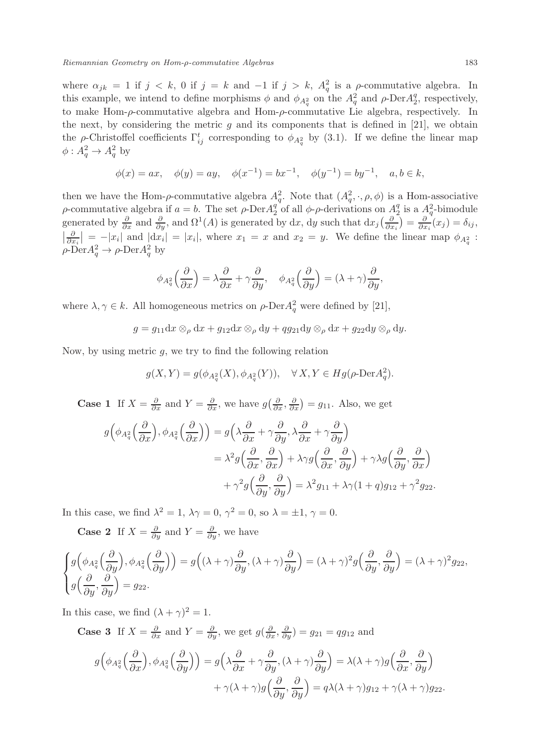where  $\alpha_{jk} = 1$  if  $j < k$ , 0 if  $j = k$  and  $-1$  if  $j > k$ ,  $A_q^2$  is a  $\rho$ -commutative algebra. In this example, we intend to define morphisms  $\phi$  and  $\phi_{A_q^2}$  on the  $A_q^2$  and  $\rho$ -Der $A_2^q$ , respectively, to make Hom- $\rho$ -commutative algebra and Hom- $\rho$ -commutative Lie algebra, respectively. In the next, by considering the metric  $g$  and its components that is defined in [21], we obtain the  $\rho$ -Christoffel coefficients  $\Gamma_{ij}^t$  corresponding to  $\phi_{A_q^2}$  by (3.1). If we define the linear map  $\phi: A_q^2 \to A_q^2$  by

$$
\phi(x) = ax, \quad \phi(y) = ay, \quad \phi(x^{-1}) = bx^{-1}, \quad \phi(y^{-1}) = by^{-1}, \quad a, b \in k,
$$

then we have the Hom- $\rho$ -commutative algebra  $A_q^2$ . Note that  $(A_q^2, \cdot, \rho, \phi)$  is a Hom-associative ρ-commutative algebra if  $a = b$ . The set ρ-Der $A_2^q$  of all φ-ρ-derivations on  $A_2^q$  is a  $A_q^2$ -bimodule generated by  $\frac{\partial}{\partial x}$  and  $\frac{\partial}{\partial y}$ , and  $\Omega^1(A)$  is generated by dx, dy such that  $dx_j(\frac{\partial}{\partial x_i}) = \frac{\partial}{\partial x_i}(x_j) = \delta_{ij}$ ,  $\left|\frac{\partial}{\partial x_i}\right| = -|x_i|$  and  $|dx_i| = |x_i|$ , where  $x_1 = x$  and  $x_2 = y$ . We define the linear map  $\phi_{A_i^2}$ :  $\rho$ -Der $A_q^2 \to \rho$ -Der $A_q^2$  by

$$
\phi_{A_q^2}\left(\frac{\partial}{\partial x}\right) = \lambda \frac{\partial}{\partial x} + \gamma \frac{\partial}{\partial y}, \quad \phi_{A_q^2}\left(\frac{\partial}{\partial y}\right) = (\lambda + \gamma) \frac{\partial}{\partial y},
$$

where  $\lambda, \gamma \in k$ . All homogeneous metrics on  $\rho$ -Der $A_q^2$  were defined by [21],

$$
g = g_{11} dx \otimes_{\rho} dx + g_{12} dx \otimes_{\rho} dy + qg_{21} dy \otimes_{\rho} dx + g_{22} dy \otimes_{\rho} dy.
$$

Now, by using metric  $g$ , we try to find the following relation

$$
g(X,Y) = g(\phi_{A_q^2}(X), \phi_{A_q^2}(Y)), \quad \forall X, Y \in Hg(\rho \text{-Der} A_q^2).
$$

**Case 1** If  $X = \frac{\partial}{\partial x}$  and  $Y = \frac{\partial}{\partial x}$ , we have  $g\left(\frac{\partial}{\partial x}, \frac{\partial}{\partial x}\right) = g_{11}$ . Also, we get

$$
g\left(\phi_{A_q^2}\left(\frac{\partial}{\partial x}\right), \phi_{A_q^2}\left(\frac{\partial}{\partial x}\right)\right) = g\left(\lambda \frac{\partial}{\partial x} + \gamma \frac{\partial}{\partial y}, \lambda \frac{\partial}{\partial x} + \gamma \frac{\partial}{\partial y}\right)
$$
  

$$
= \lambda^2 g\left(\frac{\partial}{\partial x}, \frac{\partial}{\partial x}\right) + \lambda \gamma g\left(\frac{\partial}{\partial x}, \frac{\partial}{\partial y}\right) + \gamma \lambda g\left(\frac{\partial}{\partial y}, \frac{\partial}{\partial x}\right)
$$
  

$$
+ \gamma^2 g\left(\frac{\partial}{\partial y}, \frac{\partial}{\partial y}\right) = \lambda^2 g_{11} + \lambda \gamma (1 + q) g_{12} + \gamma^2 g_{22}.
$$

In this case, we find  $\lambda^2 = 1$ ,  $\lambda \gamma = 0$ ,  $\gamma^2 = 0$ , so  $\lambda = \pm 1$ ,  $\gamma = 0$ .

**Case 2** If  $X = \frac{\partial}{\partial y}$  and  $Y = \frac{\partial}{\partial y}$ , we have

$$
\begin{cases}\ng\left(\phi_{A_q^2}\left(\frac{\partial}{\partial y}\right), \phi_{A_q^2}\left(\frac{\partial}{\partial y}\right)\right) = g\left((\lambda + \gamma)\frac{\partial}{\partial y}, (\lambda + \gamma)\frac{\partial}{\partial y}\right) = (\lambda + \gamma)^2 g\left(\frac{\partial}{\partial y}, \frac{\partial}{\partial y}\right) = (\lambda + \gamma)^2 g_{22}, \\
g\left(\frac{\partial}{\partial y}, \frac{\partial}{\partial y}\right) = g_{22}.\n\end{cases}
$$

In this case, we find  $(\lambda + \gamma)^2 = 1$ .

**Case 3** If  $X = \frac{\partial}{\partial x}$  and  $Y = \frac{\partial}{\partial y}$ , we get  $g(\frac{\partial}{\partial x}, \frac{\partial}{\partial y}) = g_{21} = qg_{12}$  and

$$
g\left(\phi_{A_q^2}\left(\frac{\partial}{\partial x}\right), \phi_{A_q^2}\left(\frac{\partial}{\partial y}\right)\right) = g\left(\lambda \frac{\partial}{\partial x} + \gamma \frac{\partial}{\partial y}, (\lambda + \gamma) \frac{\partial}{\partial y}\right) = \lambda(\lambda + \gamma)g\left(\frac{\partial}{\partial x}, \frac{\partial}{\partial y}\right)
$$

$$
+ \gamma(\lambda + \gamma)g\left(\frac{\partial}{\partial y}, \frac{\partial}{\partial y}\right) = q\lambda(\lambda + \gamma)g_{12} + \gamma(\lambda + \gamma)g_{22}.
$$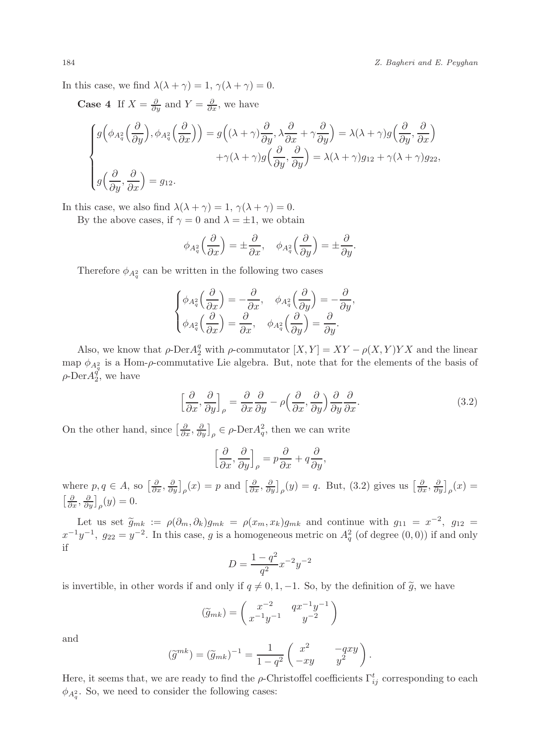In this case, we find  $\lambda(\lambda + \gamma) = 1$ ,  $\gamma(\lambda + \gamma) = 0$ .

**Case 4** If  $X = \frac{\partial}{\partial y}$  and  $Y = \frac{\partial}{\partial x}$ , we have

$$
\begin{cases}\ng\left(\phi_{A_q^2}\left(\frac{\partial}{\partial y}\right), \phi_{A_q^2}\left(\frac{\partial}{\partial x}\right)\right) = g\left((\lambda + \gamma)\frac{\partial}{\partial y}, \lambda\frac{\partial}{\partial x} + \gamma\frac{\partial}{\partial y}\right) = \lambda(\lambda + \gamma)g\left(\frac{\partial}{\partial y}, \frac{\partial}{\partial x}\right) \\
+ \gamma(\lambda + \gamma)g\left(\frac{\partial}{\partial y}, \frac{\partial}{\partial y}\right) = \lambda(\lambda + \gamma)g_{12} + \gamma(\lambda + \gamma)g_{22}, \\
g\left(\frac{\partial}{\partial y}, \frac{\partial}{\partial x}\right) = g_{12}.\n\end{cases}
$$

In this case, we also find  $\lambda(\lambda + \gamma) = 1$ ,  $\gamma(\lambda + \gamma) = 0$ .

By the above cases, if  $\gamma = 0$  and  $\lambda = \pm 1$ , we obtain

$$
\phi_{A_q^2}\left(\frac{\partial}{\partial x}\right) = \pm \frac{\partial}{\partial x}, \quad \phi_{A_q^2}\left(\frac{\partial}{\partial y}\right) = \pm \frac{\partial}{\partial y}.
$$

Therefore  $\phi_{A_q^2}$  can be written in the following two cases

$$
\begin{cases}\n\phi_{A_q^2}\left(\frac{\partial}{\partial x}\right) = -\frac{\partial}{\partial x}, & \phi_{A_q^2}\left(\frac{\partial}{\partial y}\right) = -\frac{\partial}{\partial y}, \\
\phi_{A_q^2}\left(\frac{\partial}{\partial x}\right) = \frac{\partial}{\partial x}, & \phi_{A_q^2}\left(\frac{\partial}{\partial y}\right) = \frac{\partial}{\partial y}.\n\end{cases}
$$

Also, we know that  $\rho$ -Der $A_2^q$  with  $\rho$ -commutator  $[X, Y] = XY - \rho(X, Y)YX$  and the linear map  $\phi_{A_q^2}$  is a Hom- $\rho$ -commutative Lie algebra. But, note that for the elements of the basis of  $\rho$ -Der $A_2^{\rho}$ , we have

$$
\left[\frac{\partial}{\partial x}, \frac{\partial}{\partial y}\right]_{\rho} = \frac{\partial}{\partial x}\frac{\partial}{\partial y} - \rho\left(\frac{\partial}{\partial x}, \frac{\partial}{\partial y}\right)\frac{\partial}{\partial y}\frac{\partial}{\partial x}.
$$
\n(3.2)

On the other hand, since  $\left[\frac{\partial}{\partial x}, \frac{\partial}{\partial y}\right]_{\rho} \in \rho$ -Der $A_q^2$ , then we can write

$$
\left[\frac{\partial}{\partial x}, \frac{\partial}{\partial y}\right]_{\rho} = p\frac{\partial}{\partial x} + q\frac{\partial}{\partial y},
$$

where  $p, q \in A$ , so  $\left[\frac{\partial}{\partial x}, \frac{\partial}{\partial y}\right]_{\rho}(x) = p$  and  $\left[\frac{\partial}{\partial x}, \frac{\partial}{\partial y}\right]_{\rho}(y) = q$ . But, (3.2) gives us  $\left[\frac{\partial}{\partial x}, \frac{\partial}{\partial y}\right]_{\rho}(x) =$  $\left[\frac{\partial}{\partial x}, \frac{\partial}{\partial y}\right]_{\rho}(y) = 0.$ 

Let us set  $\widetilde{g}_{mk} := \rho(\partial_m, \partial_k)g_{mk} = \rho(x_m, x_k)g_{mk}$  and continue with  $g_{11} = x^{-2}$ ,  $g_{12} =$  $x^{-1}y^{-1}$ ,  $g_{22} = y^{-2}$ . In this case, g is a homogeneous metric on  $A_q^2$  (of degree  $(0,0)$ ) if and only if

$$
D = \frac{1 - q^2}{q^2} x^{-2} y^{-2}
$$

is invertible, in other words if and only if  $q \neq 0, 1, -1$ . So, by the definition of  $\tilde{g}$ , we have

$$
(\widetilde{g}_{mk}) = \begin{pmatrix} x^{-2} & qx^{-1}y^{-1} \\ x^{-1}y^{-1} & y^{-2} \end{pmatrix}
$$

and

$$
(\widetilde{g}^{mk}) = (\widetilde{g}_{mk})^{-1} = \frac{1}{1-q^2} \begin{pmatrix} x^2 & -qxy \\ -xy & y^2 \end{pmatrix}.
$$

Here, it seems that, we are ready to find the  $\rho$ -Christoffel coefficients  $\Gamma_{ij}^t$  corresponding to each  $\phi_{A_q^2}$ . So, we need to consider the following cases: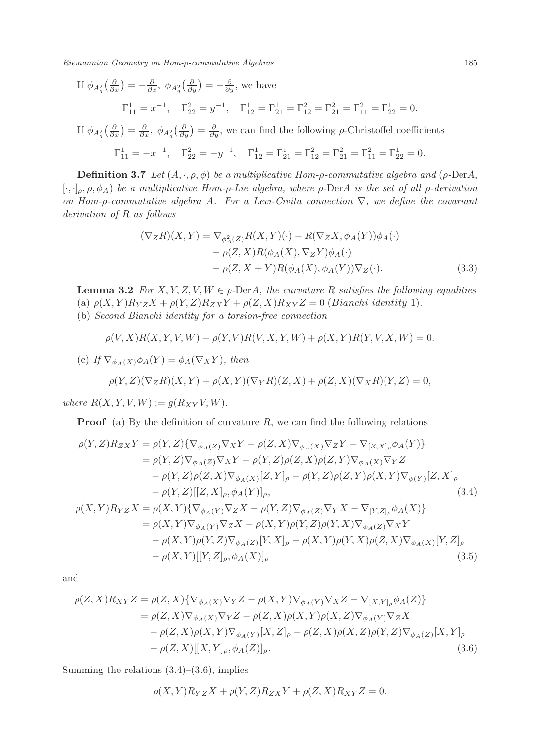If 
$$
\phi_{A_q^2}(\frac{\partial}{\partial x}) = -\frac{\partial}{\partial x}
$$
,  $\phi_{A_q^2}(\frac{\partial}{\partial y}) = -\frac{\partial}{\partial y}$ , we have  

$$
\Gamma_{11}^1 = x^{-1}, \quad \Gamma_{22}^2 = y^{-1}, \quad \Gamma_{12}^1 = \Gamma_{21}^1 = \Gamma_{21}^2 = \Gamma_{21}^2 = \Gamma_{11}^2 = \Gamma_{22}^1 = 0.
$$

If  $\phi_{A_q^2}(\frac{\partial}{\partial x}) = \frac{\partial}{\partial x}$ ,  $\phi_{A_q^2}(\frac{\partial}{\partial y}) = \frac{\partial}{\partial y}$ , we can find the following  $\rho$ -Christoffel coefficients

$$
\Gamma_{11}^1 = -x^{-1}, \quad \Gamma_{22}^2 = -y^{-1}, \quad \Gamma_{12}^1 = \Gamma_{21}^1 = \Gamma_{22}^2 = \Gamma_{21}^2 = \Gamma_{11}^2 = \Gamma_{22}^1 = 0.
$$

**Definition 3.7** Let  $(A, \cdot, \rho, \phi)$  be a multiplicative Hom- $\rho$ -commutative algebra and ( $\rho$ -DerA, [ $\cdot, \cdot$ ]<sub>ρ</sub>,  $\rho$ ,  $\phi$ <sub>A</sub>) be a multiplicative Hom-ρ-Lie algebra, where ρ-DerA is the set of all ρ-derivation on Hom-ρ-commutative algebra A. For a Levi-Civita connection  $\nabla$ , we define the covariant derivation of R as follows

$$
(\nabla_Z R)(X, Y) = \nabla_{\phi_A^2(Z)} R(X, Y)(\cdot) - R(\nabla_Z X, \phi_A(Y))\phi_A(\cdot)
$$

$$
- \rho(Z, X)R(\phi_A(X), \nabla_Z Y)\phi_A(\cdot)
$$

$$
- \rho(Z, X + Y)R(\phi_A(X), \phi_A(Y))\nabla_Z(\cdot). \tag{3.3}
$$

**Lemma 3.2** For X, Y, Z, V, W  $\in \rho$ -DerA, the curvature R satisfies the following equalities (a)  $\rho(X, Y)R_{YZ}X + \rho(Y, Z)R_{ZX}Y + \rho(Z, X)R_{XY}Z = 0$  (*Bianchi identity* 1). (b) Second Bianchi identity for a torsion-free connection

$$
\rho(V, X)R(X, Y, V, W) + \rho(Y, V)R(V, X, Y, W) + \rho(X, Y)R(Y, V, X, W) = 0
$$

(c) If  $\nabla_{\phi_A(X)} \phi_A(Y) = \phi_A(\nabla_X Y)$ , then

$$
\rho(Y,Z)(\nabla_Z R)(X,Y) + \rho(X,Y)(\nabla_Y R)(Z,X) + \rho(Z,X)(\nabla_X R)(Y,Z) = 0,
$$

where  $R(X, Y, V, W) := g(R_{XY}V, W)$ .

**Proof** (a) By the definition of curvature  $R$ , we can find the following relations

$$
\rho(Y, Z)R_{ZX}Y = \rho(Y, Z)\{\nabla_{\phi_A(Z)}\nabla_XY - \rho(Z, X)\nabla_{\phi_A(X)}\nabla_ZY - \nabla_{[Z, X]_\rho}\phi_A(Y)\}
$$
  
\n
$$
= \rho(Y, Z)\nabla_{\phi_A(Z)}\nabla_XY - \rho(Y, Z)\rho(Z, X)\rho(Z, Y)\nabla_{\phi_A(X)}\nabla_YZ
$$
  
\n
$$
- \rho(Y, Z)\rho(Z, X)\nabla_{\phi_A(X)}[Z, Y]_\rho - \rho(Y, Z)\rho(Z, Y)\rho(X, Y)\nabla_{\phi(Y)}[Z, X]_\rho
$$
  
\n
$$
- \rho(Y, Z)][Z, X]_\rho, \phi_A(Y)]_\rho,
$$
  
\n
$$
\rho(X, Y)R_{YZ}X = \rho(X, Y)\{\nabla_{\phi_A(Y)}\nabla_ZX - \rho(Y, Z)\nabla_{\phi_A(Z)}\nabla_YX - \nabla_{[Y, Z]_\rho}\phi_A(X)\}
$$
  
\n
$$
= \rho(X, Y)\nabla_{\phi_A(Y)}\nabla_ZX - \rho(X, Y)\rho(Y, Z)\rho(Y, X)\nabla_{\phi_A(Z)}\nabla_XY
$$
  
\n
$$
- \rho(X, Y)\rho(Y, Z)\nabla_{\phi_A(Z)}[Y, X]_\rho - \rho(X, Y)\rho(Y, X)\rho(Z, X)\nabla_{\phi_A(X)}[Y, Z]_\rho
$$
  
\n
$$
- \rho(X, Y)][Y, Z]_\rho, \phi_A(X)]_\rho
$$
  
\n(3.5)

and

$$
\rho(Z, X)R_{XY}Z = \rho(Z, X)\{\nabla_{\phi_A(X)}\nabla_Y Z - \rho(X, Y)\nabla_{\phi_A(Y)}\nabla_X Z - \nabla_{[X, Y]_\rho}\phi_A(Z)\}
$$
  
\n
$$
= \rho(Z, X)\nabla_{\phi_A(X)}\nabla_Y Z - \rho(Z, X)\rho(X, Y)\rho(X, Z)\nabla_{\phi_A(Y)}\nabla_Z X
$$
  
\n
$$
- \rho(Z, X)\rho(X, Y)\nabla_{\phi_A(Y)}[X, Z]_\rho - \rho(Z, X)\rho(X, Z)\rho(Y, Z)\nabla_{\phi_A(Z)}[X, Y]_\rho
$$
  
\n
$$
- \rho(Z, X)[[X, Y]_\rho, \phi_A(Z)]_\rho.
$$
\n(3.6)

Summing the relations  $(3.4)$ – $(3.6)$ , implies

$$
\rho(X,Y)R_{YZ}X + \rho(Y,Z)R_{ZX}Y + \rho(Z,X)R_{XY}Z = 0.
$$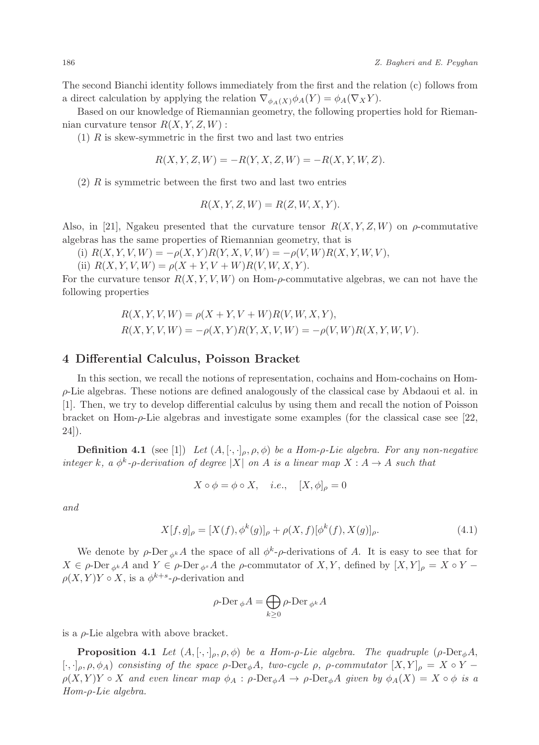The second Bianchi identity follows immediately from the first and the relation (c) follows from a direct calculation by applying the relation  $\nabla_{\phi_A(X)} \phi_A(Y) = \phi_A(\nabla_X Y)$ .

Based on our knowledge of Riemannian geometry, the following properties hold for Riemannian curvature tensor  $R(X, Y, Z, W)$ :

 $(1)$  R is skew-symmetric in the first two and last two entries

$$
R(X, Y, Z, W) = -R(Y, X, Z, W) = -R(X, Y, W, Z).
$$

 $(2)$  R is symmetric between the first two and last two entries

$$
R(X, Y, Z, W) = R(Z, W, X, Y).
$$

Also, in [21], Ngakeu presented that the curvature tensor  $R(X, Y, Z, W)$  on  $\rho$ -commutative algebras has the same properties of Riemannian geometry, that is

(i)  $R(X, Y, V, W) = -\rho(X, Y)R(Y, X, V, W) = -\rho(V, W)R(X, Y, W, V),$ 

(ii)  $R(X, Y, V, W) = \rho(X + Y, V + W)R(V, W, X, Y).$ 

For the curvature tensor  $R(X, Y, V, W)$  on Hom- $\rho$ -commutative algebras, we can not have the following properties

$$
R(X, Y, V, W) = \rho(X + Y, V + W)R(V, W, X, Y),
$$
  
 
$$
R(X, Y, V, W) = -\rho(X, Y)R(Y, X, V, W) = -\rho(V, W)R(X, Y, W, V).
$$

#### 4 Differential Calculus, Poisson Bracket

In this section, we recall the notions of representation, cochains and Hom-cochains on Hom- $\rho$ -Lie algebras. These notions are defined analogously of the classical case by Abdaoui et al. in [1]. Then, we try to develop differential calculus by using them and recall the notion of Poisson bracket on Hom- $\rho$ -Lie algebras and investigate some examples (for the classical case see [22, 24]).

**Definition 4.1** (see [1]) Let  $(A, [\cdot, \cdot]_{\rho}, \rho, \phi)$  be a Hom- $\rho$ -Lie algebra. For any non-negative integer k, a  $\phi^k$ - $\rho$ -derivation of degree |X| on A is a linear map  $X : A \to A$  such that

$$
X \circ \phi = \phi \circ X, \quad i.e., \quad [X, \phi]_{\rho} = 0
$$

and

$$
X[f,g]_{\rho} = [X(f), \phi^k(g)]_{\rho} + \rho(X,f)[\phi^k(f), X(g)]_{\rho}.
$$
\n(4.1)

We denote by  $\rho$ -Der  $_{\phi^k}A$  the space of all  $\phi^k$ - $\rho$ -derivations of A. It is easy to see that for  $X \in \rho$ -Der <sub>φ</sub>k A and  $Y \in \rho$ -Der <sub>φ</sub>k A the  $\rho$ -commutator of X, Y, defined by  $[X, Y]_{\rho} = X \circ Y \rho(X, Y)Y \circ X$ , is a  $\phi^{k+s}$ - $\rho$ -derivation and

$$
\rho\text{-Der}_{\phi}A = \bigoplus_{k \geq 0} \rho\text{-Der}_{\phi^k}A
$$

is a  $\rho$ -Lie algebra with above bracket.

**Proposition 4.1** Let  $(A, [\cdot, \cdot]_{\rho}, \rho, \phi)$  be a Hom- $\rho$ -Lie algebra. The quadruple ( $\rho$ -Der<sub>φ</sub>A,  $[\cdot,\cdot]_\rho, \rho, \phi_A$ ) consisting of the space  $\rho$ -Der<sub>φ</sub>A, two-cycle  $\rho$ ,  $\rho$ -commutator  $[X,Y]_\rho = X \circ Y \rho(X, Y)Y \circ X$  and even linear map  $\phi_A : \rho\text{-Der}_{\phi}A \to \rho\text{-Der}_{\phi}A$  given by  $\phi_A(X) = X \circ \phi$  is a Hom-ρ-Lie algebra.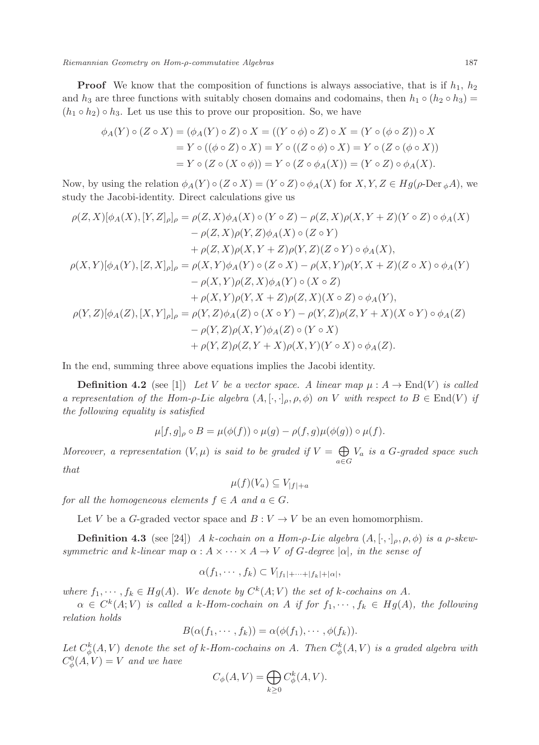**Proof** We know that the composition of functions is always associative, that is if  $h_1$ ,  $h_2$ and h<sub>3</sub> are three functions with suitably chosen domains and codomains, then  $h_1 \circ (h_2 \circ h_3) =$  $(h_1 \circ h_2) \circ h_3$ . Let us use this to prove our proposition. So, we have

$$
\phi_A(Y) \circ (Z \circ X) = (\phi_A(Y) \circ Z) \circ X = ((Y \circ \phi) \circ Z) \circ X = (Y \circ (\phi \circ Z)) \circ X
$$
  
=  $Y \circ ((\phi \circ Z) \circ X) = Y \circ ((Z \circ \phi) \circ X) = Y \circ (Z \circ (\phi \circ X))$   
=  $Y \circ (Z \circ (X \circ \phi)) = Y \circ (Z \circ \phi_A(X)) = (Y \circ Z) \circ \phi_A(X).$ 

Now, by using the relation  $\phi_A(Y) \circ (Z \circ X) = (Y \circ Z) \circ \phi_A(X)$  for  $X, Y, Z \in Hg(\rho\text{-Der }\phi A)$ , we study the Jacobi-identity. Direct calculations give us

$$
\rho(Z, X)[\phi_A(X), [Y, Z]_\rho]_\rho = \rho(Z, X)\phi_A(X) \circ (Y \circ Z) - \rho(Z, X)\rho(X, Y + Z)(Y \circ Z) \circ \phi_A(X)
$$
  
\n
$$
- \rho(Z, X)\rho(Y, Z)\phi_A(X) \circ (Z \circ Y)
$$
  
\n
$$
+ \rho(Z, X)\rho(X, Y + Z)\rho(Y, Z)(Z \circ Y) \circ \phi_A(X),
$$
  
\n
$$
\rho(X, Y)[\phi_A(Y), [Z, X]_\rho]_\rho = \rho(X, Y)\phi_A(Y) \circ (Z \circ X) - \rho(X, Y)\rho(Y, X + Z)(Z \circ X) \circ \phi_A(Y)
$$
  
\n
$$
- \rho(X, Y)\rho(Z, X)\phi_A(Y) \circ (X \circ Z)
$$
  
\n
$$
+ \rho(X, Y)\rho(Y, X + Z)\rho(Z, X)(X \circ Z) \circ \phi_A(Y),
$$
  
\n
$$
\rho(Y, Z)[\phi_A(Z), [X, Y]_\rho]_\rho = \rho(Y, Z)\phi_A(Z) \circ (X \circ Y) - \rho(Y, Z)\rho(Z, Y + X)(X \circ Y) \circ \phi_A(Z)
$$
  
\n
$$
- \rho(Y, Z)\rho(X, Y)\phi_A(Z) \circ (Y \circ X)
$$
  
\n
$$
+ \rho(Y, Z)\rho(Z, Y + X)\rho(X, Y)(Y \circ X) \circ \phi_A(Z).
$$

In the end, summing three above equations implies the Jacobi identity.

**Definition 4.2** (see [1]) Let V be a vector space. A linear map  $\mu : A \to \text{End}(V)$  is called a representation of the Hom- $\rho$ -Lie algebra  $(A, [\cdot, \cdot]_{\rho}, \rho, \phi)$  on V with respect to  $B \in End(V)$  if the following equality is satisfied

$$
\mu[f,g]_{\rho} \circ B = \mu(\phi(f)) \circ \mu(g) - \rho(f,g)\mu(\phi(g)) \circ \mu(f).
$$

Moreover, a representation  $(V, \mu)$  is said to be graded if  $V = \bigoplus$  $\bigoplus_{a \in G} V_a$  is a G-graded space such that

$$
\mu(f)(V_a) \subseteq V_{|f|+a}
$$

for all the homogeneous elements  $f \in A$  and  $a \in G$ .

Let V be a G-graded vector space and  $B: V \to V$  be an even homomorphism.

**Definition 4.3** (see [24]) A k-cochain on a Hom-ρ-Lie algebra  $(A, [\cdot, \cdot]_{\rho}, \rho, \phi)$  is a ρ-skewsymmetric and k-linear map  $\alpha : A \times \cdots \times A \rightarrow V$  of G-degree  $|\alpha|$ , in the sense of

$$
\alpha(f_1,\cdots,f_k)\subset V_{|f_1|+\cdots+|f_k|+|\alpha|},
$$

where  $f_1, \dots, f_k \in Hg(A)$ . We denote by  $C^k(A; V)$  the set of k-cochains on A.

 $\alpha \in C^k(A; V)$  is called a k-Hom-cochain on A if for  $f_1, \dots, f_k \in Hg(A)$ , the following relation holds

$$
B(\alpha(f_1,\dots,f_k))=\alpha(\phi(f_1),\dots,\phi(f_k)).
$$

Let  $C^k_{\phi}(A, V)$  denote the set of k-Hom-cochains on A. Then  $C^k_{\phi}(A, V)$  is a graded algebra with  $C^0_\phi(A, V) = V$  and we have

$$
C_{\phi}(A, V) = \bigoplus_{k \ge 0} C_{\phi}^{k}(A, V).
$$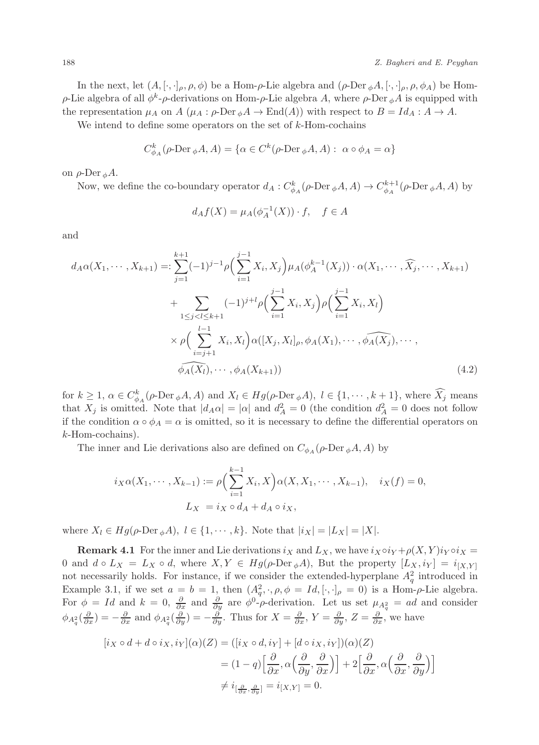In the next, let  $(A, [\cdot, \cdot]_{\rho}, \rho, \phi)$  be a Hom- $\rho$ -Lie algebra and  $(\rho$ -Der  $_{\phi}A, [\cdot, \cdot]_{\rho}, \rho, \phi_A)$  be Hom- $\rho$ -Lie algebra of all  $\phi^k$ - $\rho$ -derivations on Hom- $\rho$ -Lie algebra A, where  $\rho$ -Der  $_{\phi}A$  is equipped with the representation  $\mu_A$  on  $A$  ( $\mu_A : \rho\text{-Der}_{\phi}A \to \text{End}(A)$ ) with respect to  $B = Id_A : A \to A$ .

We intend to define some operators on the set of  $k$ -Hom-cochains

$$
C_{\phi_A}^k(\rho\text{-Der}_{\phi}A, A) = \{ \alpha \in C^k(\rho\text{-Der}_{\phi}A, A) : \ \alpha \circ \phi_A = \alpha \}
$$

on  $ρ$ -Der <sub>φ</sub> $A$ .

Now, we define the co-boundary operator  $d_A: C^k_{\phi_A}(\rho\text{-Der}_{\phi}A, A) \to C^{k+1}_{\phi_A}(\rho\text{-Der}_{\phi}A, A)$  by

$$
d_A f(X) = \mu_A(\phi_A^{-1}(X)) \cdot f, \quad f \in A
$$

and

$$
d_A\alpha(X_1, \dots, X_{k+1}) =: \sum_{j=1}^{k+1} (-1)^{j-1} \rho \Big( \sum_{i=1}^{j-1} X_i, X_j \Big) \mu_A(\phi_A^{k-1}(X_j)) \cdot \alpha(X_1, \dots, \widehat{X_j}, \dots, X_{k+1})
$$
  
+ 
$$
\sum_{1 \le j < l \le k+1} (-1)^{j+l} \rho \Big( \sum_{i=1}^{j-1} X_i, X_j \Big) \rho \Big( \sum_{i=1}^{j-1} X_i, X_l \Big)
$$
  
× 
$$
\rho \Big( \sum_{i=j+1}^{l-1} X_i, X_l \Big) \alpha([X_j, X_l]_\rho, \phi_A(X_1), \dots, \widehat{\phi_A(X_j)}, \dots, \widehat{\phi_A(X_l)}, \dots, \widehat{\phi_A(X_l)}, \dots, \widehat{\phi_A(X_l)}, \dots, \widehat{\phi_A(X_l)}, \dots, \widehat{\phi_A(X_l)}, \dots, \widehat{\phi_A(X_l)}, \dots, \widehat{\phi_A(X_l)}, \dots, \widehat{\phi_A(X_l)}, \dots, \widehat{\phi_A(X_l)}, \dots, \widehat{\phi_A(X_l)}, \dots, \widehat{\phi_A(X_l)}, \dots, \widehat{\phi_A(X_l)}, \dots, \widehat{\phi_A(X_l)}, \dots, \widehat{\phi_A(X_l)}, \dots, \widehat{\phi_A(X_l)}, \dots, \widehat{\phi_A(X_l)}, \dots, \widehat{\phi_A(X_l)}, \dots, \widehat{\phi_A(X_l)}, \dots, \widehat{\phi_A(X_l)}, \dots, \widehat{\phi_A(X_l)}, \dots, \widehat{\phi_A(X_l)}, \dots, \widehat{\phi_A(X_l)}, \dots, \widehat{\phi_A(X_l)}, \dots, \widehat{\phi_A(X_l)}, \dots, \widehat{\phi_A(X_l)}, \dots, \widehat{\phi_A(X_l)}, \dots, \widehat{\phi_A(X_l)}, \dots, \widehat{\phi_A(X_l)}, \dots, \widehat{\phi_A(X_l)}, \dots, \widehat{\phi_A(X_l)}, \dots, \widehat{\phi_A(X_l)}, \dots, \widehat{\phi_A(X_l)}, \dots, \widehat{\phi_A(X_l)}, \dots, \widehat{\phi_A(X_l)}, \dots, \widehat{\phi_A(X_l)}, \dots, \widehat{\phi_A(X_l)}, \dots, \widehat{\phi_A(X_l)}, \dots, \widehat{\phi_A(X_l)}, \dots, \widehat{\phi_A(X_l)}, \dots, \widehat{\phi_A(X_l)}, \dots, \widehat{\phi_A(X_l)}, \dots, \widehat{\phi_A(X_l)}, \
$$

for  $k \geq 1$ ,  $\alpha \in C_{\phi_A}^k(\rho\text{-Der}_{\phi}A, A)$  and  $X_l \in Hg(\rho\text{-Der}_{\phi}A)$ ,  $l \in \{1, \cdots, k+1\}$ , where  $X_j$  means that  $X_j$  is omitted. Note that  $|d_A\alpha| = |\alpha|$  and  $d_A^2 = 0$  (the condition  $d_A^2 = 0$  does not follow if the condition  $\alpha \circ \phi_A = \alpha$  is omitted, so it is necessary to define the differential operators on k-Hom-cochains).

The inner and Lie derivations also are defined on  $C_{\phi_A}(\rho\text{-Der}_{\phi}A, A)$  by

$$
i_X \alpha(X_1, \cdots, X_{k-1}) := \rho \Big( \sum_{i=1}^{k-1} X_i, X \Big) \alpha(X, X_1, \cdots, X_{k-1}), \quad i_X(f) = 0,
$$
  

$$
L_X = i_X \circ d_A + d_A \circ i_X,
$$

where  $X_l \in Hq(\rho\text{-Der}_{\phi}A), l \in \{1, \cdots, k\}.$  Note that  $|i_X| = |L_X| = |X|$ .

**Remark 4.1** For the inner and Lie derivations  $i_X$  and  $L_X$ , we have  $i_X \circ i_Y + \rho(X, Y) i_Y \circ i_X =$ 0 and  $d \circ L_X = L_X \circ d$ , where  $X, Y \in Hg(\rho\text{-Der}_{\phi}A)$ , But the property  $[L_X, i_Y] = i_{[X,Y]}$ not necessarily holds. For instance, if we consider the extended-hyperplane  $A_q^2$  introduced in Example 3.1, if we set  $a = b = 1$ , then  $(A_q^2, \cdot, \rho, \phi = Id, [\cdot, \cdot]_{\rho} = 0)$  is a Hom- $\rho$ -Lie algebra. For  $\phi = Id$  and  $k = 0$ ,  $\frac{\partial}{\partial x}$  and  $\frac{\partial}{\partial y}$  are  $\phi^0$ - $\rho$ -derivation. Let us set  $\mu_{A_q^2} = ad$  and consider  $\phi_{A_q^2}(\frac{\partial}{\partial x}) = -\frac{\partial}{\partial x}$  and  $\phi_{A_q^2}(\frac{\partial}{\partial y}) = -\frac{\partial}{\partial y}$ . Thus for  $X = \frac{\partial}{\partial x}$ ,  $Y = \frac{\partial}{\partial y}$ ,  $Z = \frac{\partial}{\partial x}$ , we have

$$
[i_X \circ d + d \circ i_X, i_Y](\alpha)(Z) = ([i_X \circ d, i_Y] + [d \circ i_X, i_Y])(\alpha)(Z)
$$
  

$$
= (1 - q) \Big[ \frac{\partial}{\partial x}, \alpha \Big( \frac{\partial}{\partial y}, \frac{\partial}{\partial x} \Big) \Big] + 2 \Big[ \frac{\partial}{\partial x}, \alpha \Big( \frac{\partial}{\partial x}, \frac{\partial}{\partial y} \Big) \Big]
$$
  

$$
\neq i_{\Big[ \frac{\partial}{\partial x}, \frac{\partial}{\partial y} \Big]} = i_{[X, Y]} = 0.
$$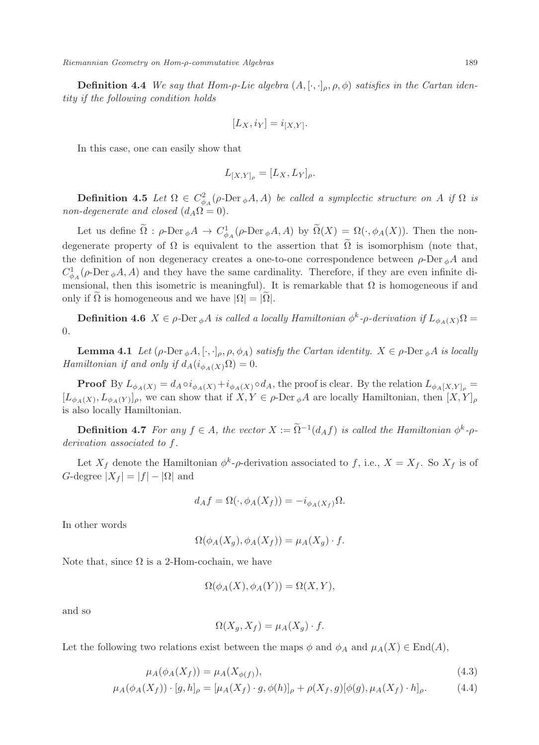**Definition 4.4** We say that Hom-ρ-Lie algebra  $(A, [\cdot, \cdot]_{\rho}, \rho, \phi)$  satisfies in the Cartan identity if the following condition holds

$$
[L_X, i_Y] = i_{[X,Y]}.
$$

In this case, one can easily show that

$$
L_{[X,Y]_{\rho}}=[L_X,L_Y]_{\rho}.
$$

**Definition 4.5** Let  $\Omega \in C^2_{\phi A}(\rho\text{-Der}_{\phi}A, A)$  be called a symplectic structure on A if  $\Omega$  is non-degenerate and closed  $(d_A\Omega = 0)$ .

Let us define  $\Omega : \rho$ -Der  $_{\phi}A \to C^1_{\phi_A}(\rho$ -Der  $_{\phi}A, A)$  by  $\Omega(X) = \Omega(\cdot, \phi_A(X))$ . Then the nondegenerate property of  $\Omega$  is equivalent to the assertion that  $\overline{\Omega}$  is isomorphism (note that, the definition of non degeneracy creates a one-to-one correspondence between  $\rho$ -Der  $_{\phi}A$  and  $C_{\phi_A}^1(\rho\text{-Der}_{\phi}A, A)$  and they have the same cardinality. Therefore, if they are even infinite dimensional, then this isometric is meaningful). It is remarkable that  $\Omega$  is homogeneous if and only if  $\Omega$  is homogeneous and we have  $|\Omega| = |\Omega|$ .

**Definition 4.6**  $X \in \rho$ -Der  $_{\phi}A$  is called a locally Hamiltonian  $\phi^k$ - $\rho$ -derivation if  $L_{\phi_A(X)}\Omega =$ 0.

**Lemma 4.1** Let  $(\rho\text{-Der}_{\phi}A, [\cdot,\cdot]_{\rho}, \rho, \phi_A)$  satisfy the Cartan identity.  $X \in \rho\text{-Der}_{\phi}A$  is locally Hamiltonian if and only if  $d_A(i_{\phi_A(X)}\Omega) = 0$ .

**Proof** By  $L_{\phi_A(X)} = d_A \circ i_{\phi_A(X)} + i_{\phi_A(X)} \circ d_A$ , the proof is clear. By the relation  $L_{\phi_A(X,Y]_{\rho}} =$  $[L_{\phi_A(X)}, L_{\phi_A(Y)}]_\rho$ , we can show that if  $X, Y \in \rho$ -Der  $_\phi A$  are locally Hamiltonian, then  $[X, Y]_\rho$ is also locally Hamiltonian.

**Definition 4.7** For any  $f \in A$ , the vector  $X := \Omega^{-1}(d_A f)$  is called the Hamiltonian  $\phi^k$ - $\rho$ derivation associated to f.

Let  $X_f$  denote the Hamiltonian  $\phi^k$ - $\rho$ -derivation associated to f, i.e.,  $X = X_f$ . So  $X_f$  is of G-degree  $|X_f| = |f| - |\Omega|$  and

$$
d_A f = \Omega(\cdot, \phi_A(X_f)) = -i_{\phi_A(X_f)} \Omega.
$$

In other words

$$
\Omega(\phi_A(X_g), \phi_A(X_f)) = \mu_A(X_g) \cdot f.
$$

Note that, since  $\Omega$  is a 2-Hom-cochain, we have

$$
\Omega(\phi_A(X), \phi_A(Y)) = \Omega(X, Y),
$$

and so

$$
\Omega(X_g, X_f) = \mu_A(X_g) \cdot f.
$$

Let the following two relations exist between the maps  $\phi$  and  $\phi_A$  and  $\mu_A(X) \in \text{End}(A)$ ,

$$
\mu_A(\phi_A(X_f)) = \mu_A(X_{\phi(f)}),\tag{4.3}
$$

$$
\mu_A(\phi_A(X_f)) \cdot [g, h]_\rho = [\mu_A(X_f) \cdot g, \phi(h)]_\rho + \rho(X_f, g)[\phi(g), \mu_A(X_f) \cdot h]_\rho. \tag{4.4}
$$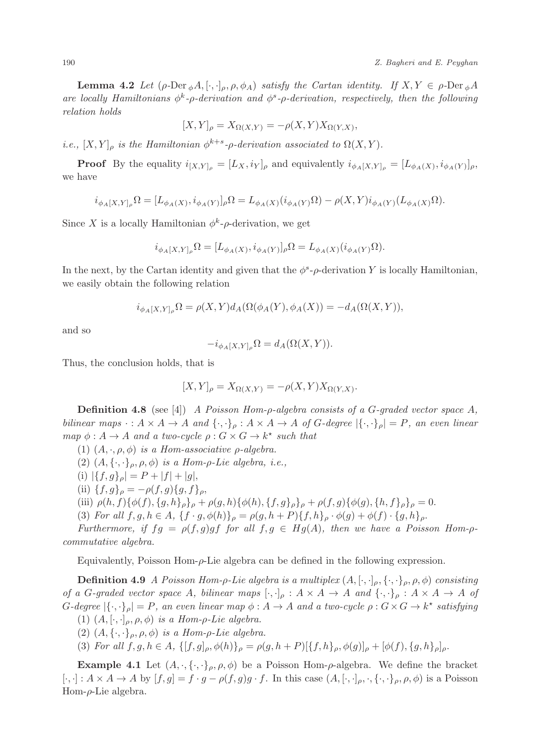**Lemma 4.2** Let  $(\rho \text{-Der}_{\phi}A, [\cdot, \cdot]_{\rho}, \rho, \phi_A)$  satisfy the Cartan identity. If  $X, Y \in \rho \text{-Der}_{\phi}A$ are locally Hamiltonians  $\phi^k$ - $\rho$ -derivation and  $\phi^s$ - $\rho$ -derivation, respectively, then the following relation holds

$$
[X,Y]_{\rho} = X_{\Omega(X,Y)} = -\rho(X,Y)X_{\Omega(Y,X)},
$$

i.e.,  $[X, Y]_{\rho}$  is the Hamiltonian  $\phi^{k+s}$ - $\rho$ -derivation associated to  $\Omega(X, Y)$ .

**Proof** By the equality  $i_{[X,Y]_{\rho}} = [L_X, i_Y]_{\rho}$  and equivalently  $i_{\phi_A[X,Y]_{\rho}} = [L_{\phi_A(X)}, i_{\phi_A(Y)}]_{\rho}$ , we have

$$
i_{\phi_A[X,Y]_\rho}\Omega=[L_{\phi_A(X)},i_{\phi_A(Y)}]_\rho\Omega=L_{\phi_A(X)}(i_{\phi_A(Y)}\Omega)-\rho(X,Y)i_{\phi_A(Y)}(L_{\phi_A(X)}\Omega).
$$

Since X is a locally Hamiltonian  $\phi^k$ - $\rho$ -derivation, we get

$$
i_{\phi_A[X,Y]_\rho}\Omega = [L_{\phi_A(X)}, i_{\phi_A(Y)}]_\rho\Omega = L_{\phi_A(X)}(i_{\phi_A(Y)}\Omega).
$$

In the next, by the Cartan identity and given that the  $\phi^s$ - $\rho$ -derivation Y is locally Hamiltonian, we easily obtain the following relation

$$
i_{\phi_A[X,Y]_\rho}\Omega = \rho(X,Y)d_A(\Omega(\phi_A(Y),\phi_A(X)) = -d_A(\Omega(X,Y)),
$$

and so

$$
-i_{\phi_A[X,Y]_\rho}\Omega = d_A(\Omega(X,Y)).
$$

Thus, the conclusion holds, that is

$$
[X,Y]_{\rho} = X_{\Omega(X,Y)} = -\rho(X,Y)X_{\Omega(Y,X)}.
$$

**Definition 4.8** (see [4]) A Poisson Hom- $\rho$ -algebra consists of a G-graded vector space A, bilinear maps  $\cdot : A \times A \to A$  and  $\{\cdot, \cdot\}_\rho : A \times A \to A$  of G-degree  $|\{\cdot, \cdot\}_\rho| = P$ , an even linear map  $\phi: A \to A$  and a two-cycle  $\rho: G \times G \to k^*$  such that

(1)  $(A, \cdot, \rho, \phi)$  is a Hom-associative  $\rho$ -algebra.

- (2)  $(A, \{\cdot,\cdot\}_{\rho}, \rho, \phi)$  is a Hom- $\rho$ -Lie algebra, i.e.,
- (i)  $|\{f,g\}_\rho| = P + |f| + |g|$ ,
- (ii)  ${f, g}_{\rho} = -\rho(f, g){g, f}_{\rho}$
- (iii)  $\rho(h, f) \{\phi(f), \{g, h\}_\rho\}_\rho + \rho(g, h) \{\phi(h), \{f, g\}_\rho\}_\rho + \rho(f, g) \{\phi(g), \{h, f\}_\rho\}_\rho = 0.$
- (3) For all  $f, g, h \in A$ ,  $\{f \cdot g, \phi(h)\}_\rho = \rho(g, h + P)\{f, h\}_\rho \cdot \phi(g) + \phi(f) \cdot \{g, h\}_\rho$ .

Furthermore, if  $fg = \rho(f, g)gf$  for all  $f, g \in Hg(A)$ , then we have a Poisson Hom- $\rho$ commutative algebra.

Equivalently, Poisson Hom- $\rho$ -Lie algebra can be defined in the following expression.

**Definition 4.9** A Poisson Hom-ρ-Lie algebra is a multiplex  $(A, [\cdot, \cdot]_\rho, \{\cdot, \cdot\}_\rho, \rho, \phi)$  consisting of a G-graded vector space A, bilinear maps  $[\cdot, \cdot]_{\rho} : A \times A \to A$  and  $\{\cdot, \cdot\}_{\rho} : A \times A \to A$  of G-degree  $|\{\cdot,\cdot\}_\rho|=P$ , an even linear map  $\phi:A\to A$  and a two-cycle  $\rho:G\times G\to k^\star$  satisfying

- (1)  $(A, [\cdot, \cdot]_{\rho}, \rho, \phi)$  is a Hom- $\rho$ -Lie algebra.
- (2)  $(A, \{\cdot, \cdot\}_{\rho}, \rho, \phi)$  is a Hom- $\rho$ -Lie algebra.
- (3) For all  $f, g, h \in A$ ,  $\{[f, g]_{\rho}, \phi(h)\}_\rho = \rho(g, h + P)[\{f, h\}_\rho, \phi(g)]_\rho + [\phi(f), \{g, h\}_\rho]_\rho$ .

**Example 4.1** Let  $(A, \cdot, \{\cdot, \cdot\}_{\rho}, \rho, \phi)$  be a Poisson Hom- $\rho$ -algebra. We define the bracket  $[\cdot,\cdot]: A \times A \rightarrow A$  by  $[f,g] = f \cdot g - \rho(f,g)g \cdot f$ . In this case  $(A,[\cdot,\cdot]_{\rho},\cdot,\{\cdot,\cdot\}_{\rho},\rho,\phi)$  is a Poisson Hom- $\rho$ -Lie algebra.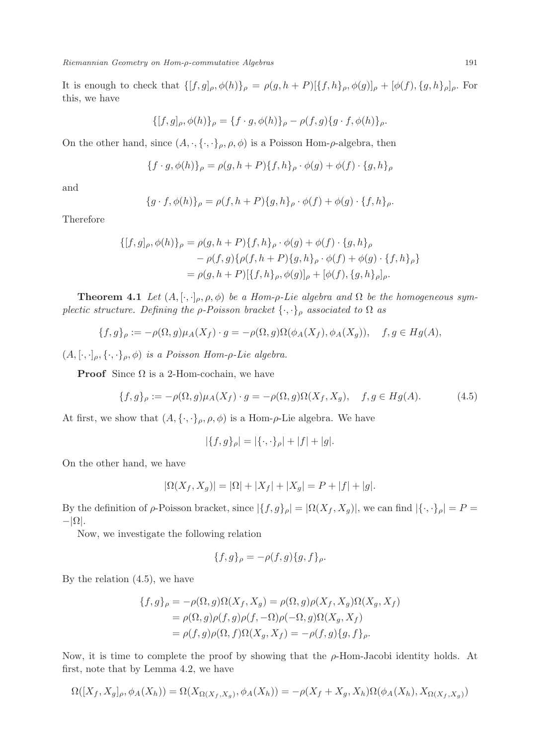It is enough to check that  $\{[f,g]_{\rho}, \phi(h)\}_\rho = \rho(g, h + P)[\{f, h\}_\rho, \phi(g)]_\rho + [\phi(f), \{g, h\}_\rho]_\rho$ . For this, we have

$$
\{ [f, g]_{\rho}, \phi(h) \}_{\rho} = \{ f \cdot g, \phi(h) \}_{\rho} - \rho(f, g) \{ g \cdot f, \phi(h) \}_{\rho}.
$$

On the other hand, since  $(A, \cdot, \{\cdot, \cdot\}_{\rho}, \rho, \phi)$  is a Poisson Hom- $\rho$ -algebra, then

$$
\{f \cdot g, \phi(h)\}_\rho = \rho(g, h + P)\{f, h\}_\rho \cdot \phi(g) + \phi(f) \cdot \{g, h\}_\rho
$$

and

$$
\{g \cdot f, \phi(h)\}_\rho = \rho(f, h + P)\{g, h\}_\rho \cdot \phi(f) + \phi(g) \cdot \{f, h\}_\rho.
$$

Therefore

$$
\{ [f, g]_{\rho}, \phi(h) \}_{\rho} = \rho(g, h + P) \{ f, h \}_{\rho} \cdot \phi(g) + \phi(f) \cdot \{ g, h \}_{\rho}
$$

$$
- \rho(f, g) \{ \rho(f, h + P) \{ g, h \}_{\rho} \cdot \phi(f) + \phi(g) \cdot \{ f, h \}_{\rho} \}
$$

$$
= \rho(g, h + P) [ \{ f, h \}_{\rho}, \phi(g) ]_{\rho} + [\phi(f), \{ g, h \}_{\rho}]_{\rho}.
$$

**Theorem 4.1** Let  $(A, [\cdot, \cdot]_{\rho}, \rho, \phi)$  be a Hom- $\rho$ -Lie algebra and  $\Omega$  be the homogeneous symplectic structure. Defining the  $\rho$ -Poisson bracket  $\{\cdot,\cdot\}_\rho$  associated to  $\Omega$  as

$$
\{f,g\}_{\rho} := -\rho(\Omega,g)\mu_A(X_f) \cdot g = -\rho(\Omega,g)\Omega(\phi_A(X_f), \phi_A(X_g)), \quad f, g \in Hg(A),
$$

 $(A, [\cdot, \cdot]_{\rho}, {\{\cdot, \cdot\}}_{\rho}, \phi)$  is a Poisson Hom- $\rho$ -Lie algebra.

**Proof** Since  $\Omega$  is a 2-Hom-cochain, we have

$$
\{f,g\}_{\rho} := -\rho(\Omega,g)\mu_A(X_f) \cdot g = -\rho(\Omega,g)\Omega(X_f,X_g), \quad f,g \in Hg(A). \tag{4.5}
$$

At first, we show that  $(A, \{\cdot, \cdot\}_{\rho}, \rho, \phi)$  is a Hom- $\rho$ -Lie algebra. We have

$$
|\{f,g\}_{\rho}| = |\{\cdot,\cdot\}_{\rho}| + |f| + |g|.
$$

On the other hand, we have

$$
|\Omega(X_f, X_g)| = |\Omega| + |X_f| + |X_g| = P + |f| + |g|.
$$

By the definition of  $\rho$ -Poisson bracket, since  $|\{f,g\}_\rho| = |\Omega(X_f,X_g)|$ , we can find  $|\{\cdot,\cdot\}_\rho| = P =$  $-|\Omega|$ .

Now, we investigate the following relation

$$
\{f,g\}_{\rho} = -\rho(f,g)\{g,f\}_{\rho}.
$$

By the relation (4.5), we have

$$
\{f,g\}_{\rho} = -\rho(\Omega,g)\Omega(X_f,X_g) = \rho(\Omega,g)\rho(X_f,X_g)\Omega(X_g,X_f)
$$
  
=  $\rho(\Omega,g)\rho(f,g)\rho(f,-\Omega)\rho(-\Omega,g)\Omega(X_g,X_f)$   
=  $\rho(f,g)\rho(\Omega,f)\Omega(X_g,X_f) = -\rho(f,g)\{g,f\}_{\rho}.$ 

Now, it is time to complete the proof by showing that the ρ-Hom-Jacobi identity holds. At first, note that by Lemma 4.2, we have

$$
\Omega([X_f, X_g]_\rho, \phi_A(X_h)) = \Omega(X_{\Omega(X_f, X_g)}, \phi_A(X_h)) = -\rho(X_f + X_g, X_h)\Omega(\phi_A(X_h), X_{\Omega(X_f, X_g)})
$$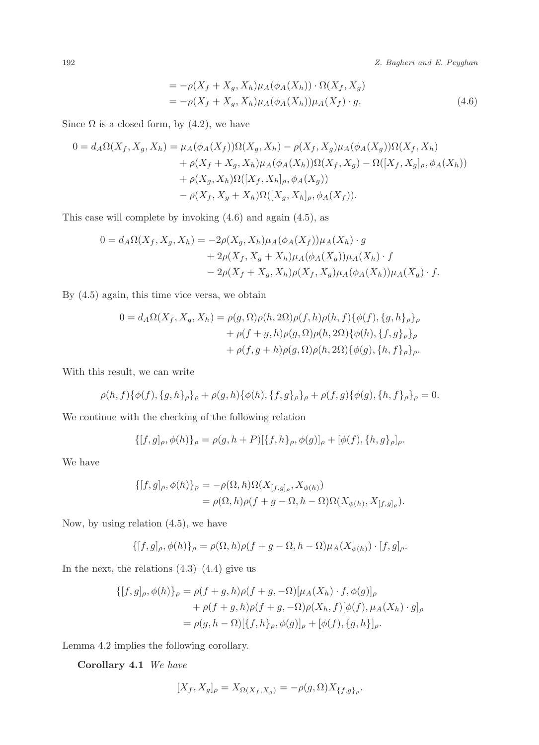192 Z. Bagheri and E. Peyghan

$$
= -\rho(X_f + X_g, X_h)\mu_A(\phi_A(X_h)) \cdot \Omega(X_f, X_g)
$$
  

$$
= -\rho(X_f + X_g, X_h)\mu_A(\phi_A(X_h))\mu_A(X_f) \cdot g. \tag{4.6}
$$

Since  $\Omega$  is a closed form, by (4.2), we have

$$
0 = d_A \Omega(X_f, X_g, X_h) = \mu_A(\phi_A(X_f))\Omega(X_g, X_h) - \rho(X_f, X_g)\mu_A(\phi_A(X_g))\Omega(X_f, X_h) + \rho(X_f + X_g, X_h)\mu_A(\phi_A(X_h))\Omega(X_f, X_g) - \Omega([X_f, X_g]_\rho, \phi_A(X_h)) + \rho(X_g, X_h)\Omega([X_f, X_h]_\rho, \phi_A(X_g)) - \rho(X_f, X_g + X_h)\Omega([X_g, X_h]_\rho, \phi_A(X_f)).
$$

This case will complete by invoking (4.6) and again (4.5), as

$$
0 = d_A \Omega(X_f, X_g, X_h) = -2\rho(X_g, X_h)\mu_A(\phi_A(X_f))\mu_A(X_h) \cdot g + 2\rho(X_f, X_g + X_h)\mu_A(\phi_A(X_g))\mu_A(X_h) \cdot f - 2\rho(X_f + X_g, X_h)\rho(X_f, X_g)\mu_A(\phi_A(X_h))\mu_A(X_g) \cdot f.
$$

By (4.5) again, this time vice versa, we obtain

$$
0 = d_A \Omega(X_f, X_g, X_h) = \rho(g, \Omega)\rho(h, 2\Omega)\rho(f, h)\rho(h, f)\{\phi(f), \{g, h\}_\rho\}_\rho
$$
  
+ 
$$
\rho(f + g, h)\rho(g, \Omega)\rho(h, 2\Omega)\{\phi(h), \{f, g\}_\rho\}_\rho
$$
  
+ 
$$
\rho(f, g + h)\rho(g, \Omega)\rho(h, 2\Omega)\{\phi(g), \{h, f\}_\rho\}_\rho.
$$

With this result, we can write

$$
\rho(h, f)\{\phi(f), \{g, h\}_\rho\}_\rho + \rho(g, h)\{\phi(h), \{f, g\}_\rho\}_\rho + \rho(f, g)\{\phi(g), \{h, f\}_\rho\}_\rho = 0.
$$

We continue with the checking of the following relation

$$
\{ [f,g]_{\rho}, \phi(h) \}_{\rho} = \rho(g, h + P) [\{f,h\}_{\rho}, \phi(g)]_{\rho} + [\phi(f), \{h,g\}_{\rho}]_{\rho}.
$$

We have

$$
\begin{aligned} \{ [f,g]_\rho, \phi(h) \}_\rho &= -\rho(\Omega, h) \Omega(X_{[f,g]_\rho}, X_{\phi(h)}) \\ &= \rho(\Omega, h) \rho(f + g - \Omega, h - \Omega) \Omega(X_{\phi(h)}, X_{[f,g]_\rho}). \end{aligned}
$$

Now, by using relation (4.5), we have

$$
\{ [f,g]_{\rho}, \phi(h) \}_{\rho} = \rho(\Omega, h)\rho(f + g - \Omega, h - \Omega)\mu_A(X_{\phi(h)}) \cdot [f,g]_{\rho}.
$$

In the next, the relations  $(4.3)$ – $(4.4)$  give us

$$
\{ [f, g]_{\rho}, \phi(h) \}_{\rho} = \rho(f + g, h)\rho(f + g, -\Omega)[\mu_A(X_h) \cdot f, \phi(g)]_{\rho}
$$
  
+  $\rho(f + g, h)\rho(f + g, -\Omega)\rho(X_h, f)[\phi(f), \mu_A(X_h) \cdot g]_{\rho}$   
=  $\rho(g, h - \Omega)[\{f, h\}_{\rho}, \phi(g)]_{\rho} + [\phi(f), \{g, h\}]_{\rho}.$ 

Lemma 4.2 implies the following corollary.

Corollary 4.1 We have

$$
[X_f, X_g]_{\rho} = X_{\Omega(X_f, X_g)} = -\rho(g, \Omega) X_{\{f, g\}_{\rho}}.
$$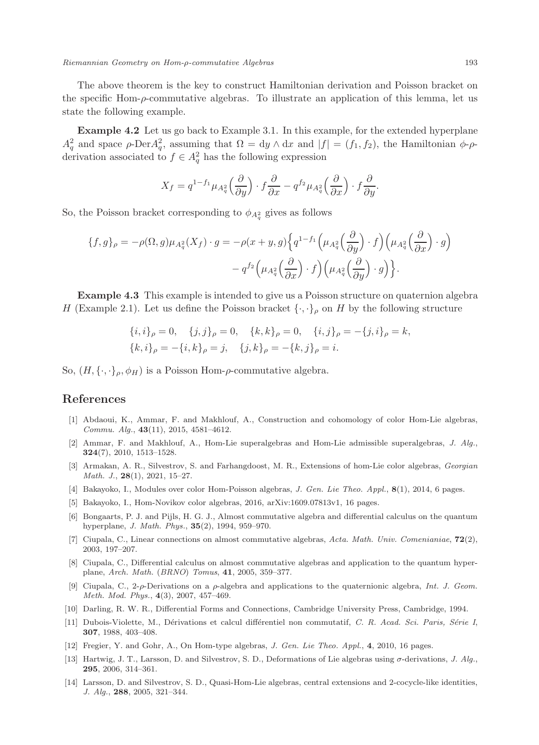The above theorem is the key to construct Hamiltonian derivation and Poisson bracket on the specific Hom- $\rho$ -commutative algebras. To illustrate an application of this lemma, let us state the following example.

Example 4.2 Let us go back to Example 3.1. In this example, for the extended hyperplane  $A_q^2$  and space  $\rho$ -Der $A_q^2$ , assuming that  $\Omega = dy \wedge dx$  and  $|f| = (f_1, f_2)$ , the Hamiltonian  $\phi$ - $\rho$ derivation associated to  $f \in A_q^2$  has the following expression

$$
X_f = q^{1-f_1} \mu_{A_q^2} \left( \frac{\partial}{\partial y} \right) \cdot f \frac{\partial}{\partial x} - q^{f_2} \mu_{A_q^2} \left( \frac{\partial}{\partial x} \right) \cdot f \frac{\partial}{\partial y}.
$$

So, the Poisson bracket corresponding to  $\phi_{A_q^2}$  gives as follows

$$
\{f,g\}_{\rho} = -\rho(\Omega,g)\mu_{A_q^2}(X_f) \cdot g = -\rho(x+y,g)\left\{q^{1-f_1}\left(\mu_{A_q^2}\left(\frac{\partial}{\partial y}\right) \cdot f\right)\left(\mu_{A_q^2}\left(\frac{\partial}{\partial x}\right) \cdot g\right) - q^{f_2}\left(\mu_{A_q^2}\left(\frac{\partial}{\partial x}\right) \cdot f\right)\left(\mu_{A_q^2}\left(\frac{\partial}{\partial y}\right) \cdot g\right)\right\}.
$$

Example 4.3 This example is intended to give us a Poisson structure on quaternion algebra H (Example 2.1). Let us define the Poisson bracket  $\{\cdot,\cdot\}_\rho$  on H by the following structure

$$
\{i, i\}_{\rho} = 0, \quad \{j, j\}_{\rho} = 0, \quad \{k, k\}_{\rho} = 0, \quad \{i, j\}_{\rho} = -\{j, i\}_{\rho} = k,
$$
  

$$
\{k, i\}_{\rho} = -\{i, k\}_{\rho} = j, \quad \{j, k\}_{\rho} = -\{k, j\}_{\rho} = i.
$$

So,  $(H, \{\cdot,\cdot\}_{\rho}, \phi_H)$  is a Poisson Hom- $\rho$ -commutative algebra.

### References

- [1] Abdaoui, K., Ammar, F. and Makhlouf, A., Construction and cohomology of color Hom-Lie algebras, Commu. Alg., 43(11), 2015, 4581–4612.
- [2] Ammar, F. and Makhlouf, A., Hom-Lie superalgebras and Hom-Lie admissible superalgebras, J. Alg., 324(7), 2010, 1513–1528.
- [3] Armakan, A. R., Silvestrov, S. and Farhangdoost, M. R., Extensions of hom-Lie color algebras, Georgian Math. J.,  $28(1)$ ,  $2021$ ,  $15-27$ .
- [4] Bakayoko, I., Modules over color Hom-Poisson algebras, J. Gen. Lie Theo. Appl., 8(1), 2014, 6 pages.
- [5] Bakayoko, I., Hom-Novikov color algebras, 2016, arXiv:1609.07813v1, 16 pages.
- [6] Bongaarts, P. J. and Pijls, H. G. J., Almost commutative algebra and differential calculus on the quantum hyperplane, J. Math. Phys., 35(2), 1994, 959–970.
- [7] Ciupala, C., Linear connections on almost commutative algebras, Acta. Math. Univ. Comenianiae,  $72(2)$ , 2003, 197–207.
- [8] Ciupala, C., Differential calculus on almost commutative algebras and application to the quantum hyperplane, Arch. Math. (BRNO) Tomus, 41, 2005, 359–377.
- [9] Ciupala, C., 2- $\rho$ -Derivations on a  $\rho$ -algebra and applications to the quaternionic algebra, Int. J. Geom. Meth. Mod. Phys., 4(3), 2007, 457–469.
- [10] Darling, R. W. R., Differential Forms and Connections, Cambridge University Press, Cambridge, 1994.
- [11] Dubois-Violette, M., Dérivations et calcul différentiel non commutatif, C. R. Acad. Sci. Paris, Série I, 307, 1988, 403–408.
- [12] Fregier, Y. and Gohr, A., On Hom-type algebras, J. Gen. Lie Theo. Appl., 4, 2010, 16 pages.
- [13] Hartwig, J. T., Larsson, D. and Silvestrov, S. D., Deformations of Lie algebras using σ-derivations, J. Alg., 295, 2006, 314–361.
- [14] Larsson, D. and Silvestrov, S. D., Quasi-Hom-Lie algebras, central extensions and 2-cocycle-like identities, J. Alg., 288, 2005, 321–344.